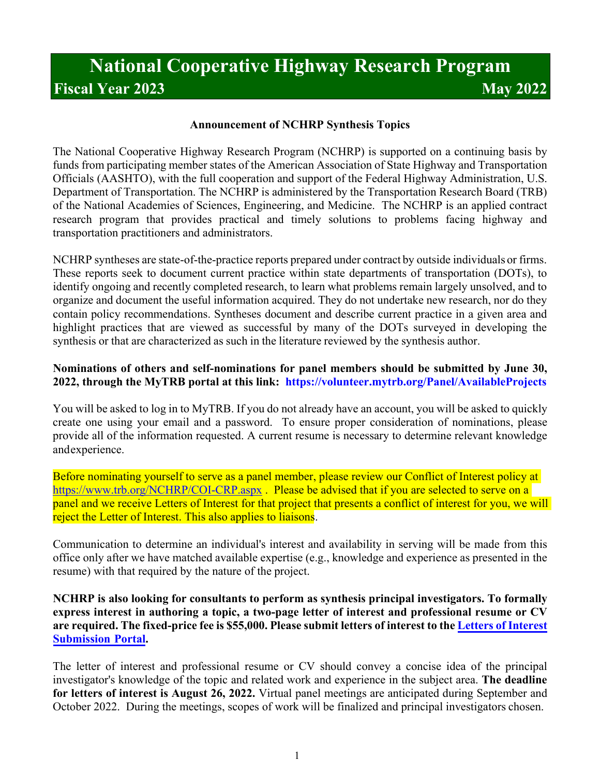# **National Cooperative Highway Research Program Fiscal Year 2023 May 2022**

## **Announcement of NCHRP Synthesis Topics**

The National Cooperative Highway Research Program (NCHRP) is supported on a continuing basis by funds from participating member states of the American Association of State Highway and Transportation Officials (AASHTO), with the full cooperation and support of the Federal Highway Administration, U.S. Department of Transportation. The NCHRP is administered by the Transportation Research Board (TRB) of the National Academies of Sciences, Engineering, and Medicine. The NCHRP is an applied contract research program that provides practical and timely solutions to problems facing highway and transportation practitioners and administrators.

NCHRP syntheses are state-of-the-practice reports prepared under contract by outside individuals or firms. These reports seek to document current practice within state departments of transportation (DOTs), to identify ongoing and recently completed research, to learn what problems remain largely unsolved, and to organize and document the useful information acquired. They do not undertake new research, nor do they contain policy recommendations. Syntheses document and describe current practice in a given area and highlight practices that are viewed as successful by many of the DOTs surveyed in developing the synthesis or that are characterized as such in the literature reviewed by the synthesis author.

## **Nominations of others and self-nominations for panel members should be submitted by June 30, 2022, through the MyTRB portal at this link: <https://volunteer.mytrb.org/Panel/AvailableProjects>**

You will be asked to log in to MyTRB. If you do not already have an account, you will be asked to quickly create one using your email and a password. To ensure proper consideration of nominations, please provide all of the information requested. A current resume is necessary to determine relevant knowledge and experience.

Before nominating yourself to serve as a panel member, please review our Conflict of Interest policy at <https://www.trb.org/NCHRP/COI-CRP.aspx>. Please be advised that if you are selected to serve on a panel and we receive Letters of Interest for that project that presents a conflict of interest for you, we will reject the Letter of Interest. This also applies to liaisons.

Communication to determine an individual's interest and availability in serving will be made from this office only after we have matched available expertise (e.g., knowledge and experience as presented in the resume) with that required by the nature of the project.

#### **NCHRP is also looking for consultants to perform as synthesis principal investigators. To formally express interest in authoring a topic, a two-page letter of interest and professional resume or CV are required. The fixed-price fee is \$55,000. Please submit letters of interest to the [Letters of Interest](https://survey.alchemer.com/s3/6853993/NCHRP-Synthesis-LOI-2023)  [Submission](https://survey.alchemer.com/s3/6853993/NCHRP-Synthesis-LOI-2023) Portal.**

The letter of interest and professional resume or CV should convey a concise idea of the principal investigator's knowledge of the topic and related work and experience in the subject area. **The deadline for letters of interest is August 26, 2022.** Virtual panel meetings are anticipated during September and October 2022. During the meetings, scopes of work will be finalized and principal investigators chosen.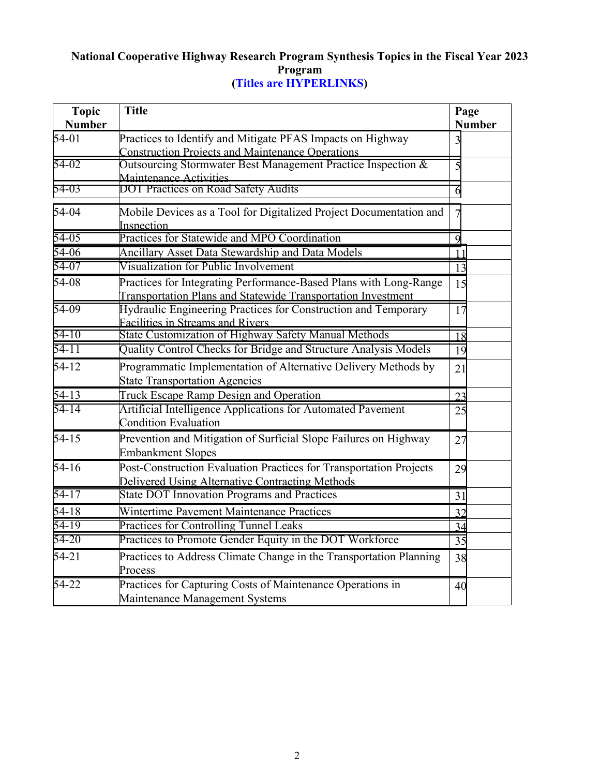# **National Cooperative Highway Research Program Synthesis Topics in the Fiscal Year 2023 Program (Titles are HYPERLINKS)**

| <b>Topic</b><br><b>Number</b> | <b>Title</b>                                                                                                                      | Page<br><b>Number</b> |
|-------------------------------|-----------------------------------------------------------------------------------------------------------------------------------|-----------------------|
| $54-01$                       | Practices to Identify and Mitigate PFAS Impacts on Highway<br><b>Construction Projects and Maintenance Operations</b>             | 3                     |
| 54-02                         | Outsourcing Stormwater Best Management Practice Inspection &<br>Maintenance Activities                                            | 5                     |
| 54-03                         | DOT Practices on Road Safety Audits                                                                                               | 6                     |
| 54-04                         | Mobile Devices as a Tool for Digitalized Project Documentation and<br>Inspection                                                  | $\overline{7}$        |
| 54-05                         | Practices for Statewide and MPO Coordination                                                                                      | 9                     |
| 54-06                         | Ancillary Asset Data Stewardship and Data Models                                                                                  | 11                    |
| 54-07                         | Visualization for Public Involvement                                                                                              | 13                    |
| 54-08                         | Practices for Integrating Performance-Based Plans with Long-Range<br>Transportation Plans and Statewide Transportation Investment | 15                    |
| 54-09                         | Hydraulic Engineering Practices for Construction and Temporary<br><b>Facilities in Streams and Rivers</b>                         | 17                    |
| $54 - 10$                     | State Customization of Highway Safety Manual Methods                                                                              | 18                    |
| $54 - 11$                     | Quality Control Checks for Bridge and Structure Analysis Models                                                                   | 19                    |
| $54 - 12$                     | Programmatic Implementation of Alternative Delivery Methods by<br><b>State Transportation Agencies</b>                            | 21                    |
| 54-13                         | Truck Escape Ramp Design and Operation                                                                                            | 23                    |
| $54 - 14$                     | Artificial Intelligence Applications for Automated Pavement<br><b>Condition Evaluation</b>                                        | 25                    |
| $54 - 15$                     | Prevention and Mitigation of Surficial Slope Failures on Highway<br><b>Embankment Slopes</b>                                      | 27                    |
| $54 - 16$                     | Post-Construction Evaluation Practices for Transportation Projects<br>Delivered Using Alternative Contracting Methods             | 29                    |
| 54-17                         | <b>State DOT Innovation Programs and Practices</b>                                                                                | 31                    |
| $54 - 18$                     | Wintertime Pavement Maintenance Practices                                                                                         | 32                    |
| 54-19                         | Practices for Controlling Tunnel Leaks                                                                                            | 34                    |
| 54-20                         | Practices to Promote Gender Equity in the DOT Workforce                                                                           | 35                    |
| $54 - 21$                     | Practices to Address Climate Change in the Transportation Planning<br>Process                                                     | 38                    |
| 54-22                         | Practices for Capturing Costs of Maintenance Operations in<br>Maintenance Management Systems                                      | 40                    |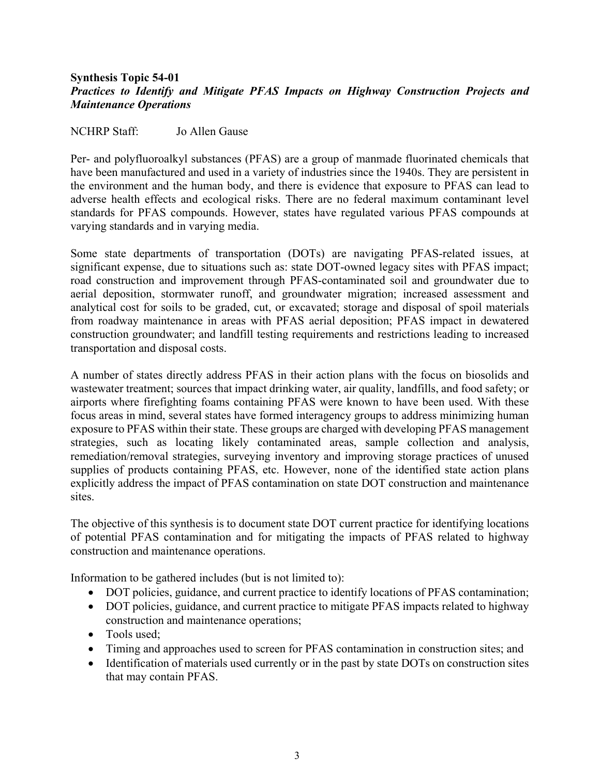#### <span id="page-2-0"></span>**Synthesis Topic 54-01** *Practices to Identify and Mitigate PFAS Impacts on Highway Construction Projects and Maintenance Operations*

#### NCHRP Staff: Jo Allen Gause

Per- and polyfluoroalkyl substances (PFAS) are a group of manmade fluorinated chemicals that have been manufactured and used in a variety of industries since the 1940s. They are persistent in the environment and the human body, and there is evidence that exposure to PFAS can lead to adverse health effects and ecological risks. There are no federal maximum contaminant level standards for PFAS compounds. However, states have regulated various PFAS compounds at varying standards and in varying media.

Some state departments of transportation (DOTs) are navigating PFAS-related issues, at significant expense, due to situations such as: state DOT-owned legacy sites with PFAS impact; road construction and improvement through PFAS-contaminated soil and groundwater due to aerial deposition, stormwater runoff, and groundwater migration; increased assessment and analytical cost for soils to be graded, cut, or excavated; storage and disposal of spoil materials from roadway maintenance in areas with PFAS aerial deposition; PFAS impact in dewatered construction groundwater; and landfill testing requirements and restrictions leading to increased transportation and disposal costs.

A number of states directly address PFAS in their action plans with the focus on biosolids and wastewater treatment; sources that impact drinking water, air quality, landfills, and food safety; or airports where firefighting foams containing PFAS were known to have been used. With these focus areas in mind, several states have formed interagency groups to address minimizing human exposure to PFAS within their state. These groups are charged with developing PFAS management strategies, such as locating likely contaminated areas, sample collection and analysis, remediation/removal strategies, surveying inventory and improving storage practices of unused supplies of products containing PFAS, etc. However, none of the identified state action plans explicitly address the impact of PFAS contamination on state DOT construction and maintenance sites.

The objective of this synthesis is to document state DOT current practice for identifying locations of potential PFAS contamination and for mitigating the impacts of PFAS related to highway construction and maintenance operations.

Information to be gathered includes (but is not limited to):

- DOT policies, guidance, and current practice to identify locations of PFAS contamination;
- DOT policies, guidance, and current practice to mitigate PFAS impacts related to highway construction and maintenance operations;
- Tools used:
- Timing and approaches used to screen for PFAS contamination in construction sites; and
- Identification of materials used currently or in the past by state DOTs on construction sites that may contain PFAS.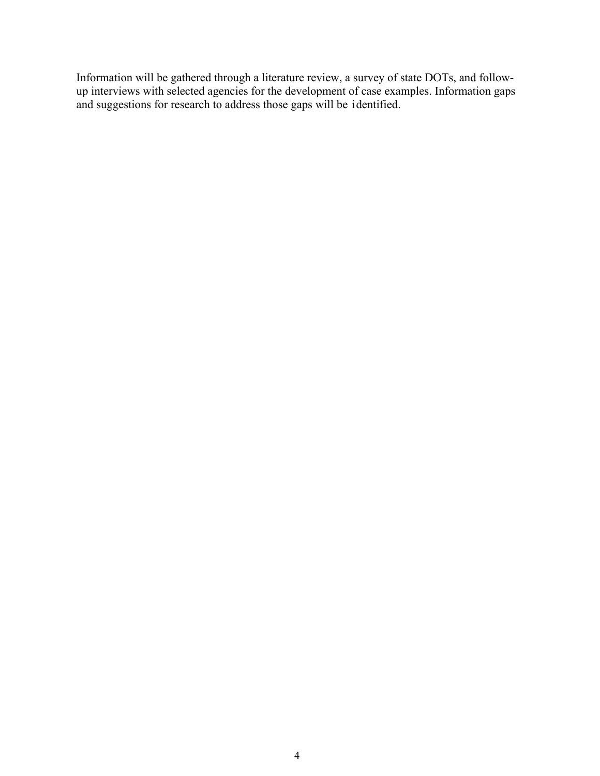Information will be gathered through a literature review, a survey of state DOTs, and followup interviews with selected agencies for the development of case examples. Information gaps and suggestions for research to address those gaps will be identified.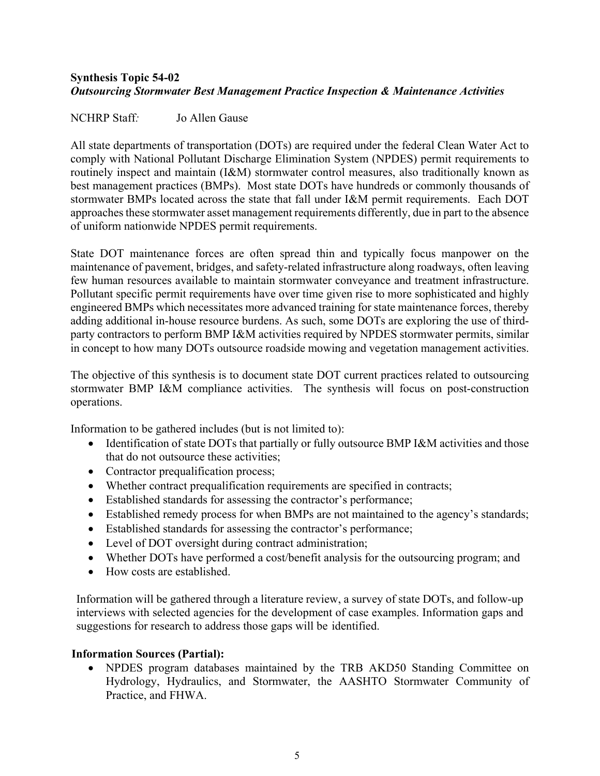# <span id="page-4-0"></span>**Synthesis Topic 54-02** *Outsourcing Stormwater Best Management Practice Inspection & Maintenance Activities*

#### NCHRP Staff*:* Jo Allen Gause

All state departments of transportation (DOTs) are required under the federal Clean Water Act to comply with National Pollutant Discharge Elimination System (NPDES) permit requirements to routinely inspect and maintain (I&M) stormwater control measures, also traditionally known as best management practices (BMPs). Most state DOTs have hundreds or commonly thousands of stormwater BMPs located across the state that fall under I&M permit requirements. Each DOT approaches these stormwater asset management requirements differently, due in part to the absence of uniform nationwide NPDES permit requirements.

State DOT maintenance forces are often spread thin and typically focus manpower on the maintenance of pavement, bridges, and safety-related infrastructure along roadways, often leaving few human resources available to maintain stormwater conveyance and treatment infrastructure. Pollutant specific permit requirements have over time given rise to more sophisticated and highly engineered BMPs which necessitates more advanced training for state maintenance forces, thereby adding additional in-house resource burdens. As such, some DOTs are exploring the use of thirdparty contractors to perform BMP I&M activities required by NPDES stormwater permits, similar in concept to how many DOTs outsource roadside mowing and vegetation management activities.

The objective of this synthesis is to document state DOT current practices related to outsourcing stormwater BMP I&M compliance activities. The synthesis will focus on post-construction operations.

Information to be gathered includes (but is not limited to):

- Identification of state DOTs that partially or fully outsource BMP I&M activities and those that do not outsource these activities;
- Contractor prequalification process;
- Whether contract prequalification requirements are specified in contracts;
- Established standards for assessing the contractor's performance;
- Established remedy process for when BMPs are not maintained to the agency's standards;
- Established standards for assessing the contractor's performance;
- Level of DOT oversight during contract administration;
- Whether DOTs have performed a cost/benefit analysis for the outsourcing program; and
- How costs are established.

Information will be gathered through a literature review, a survey of state DOTs, and follow-up interviews with selected agencies for the development of case examples. Information gaps and suggestions for research to address those gaps will be identified.

#### **Information Sources (Partial):**

• NPDES program databases maintained by the TRB AKD50 Standing Committee on Hydrology, Hydraulics, and Stormwater, the AASHTO Stormwater Community of Practice, and FHWA.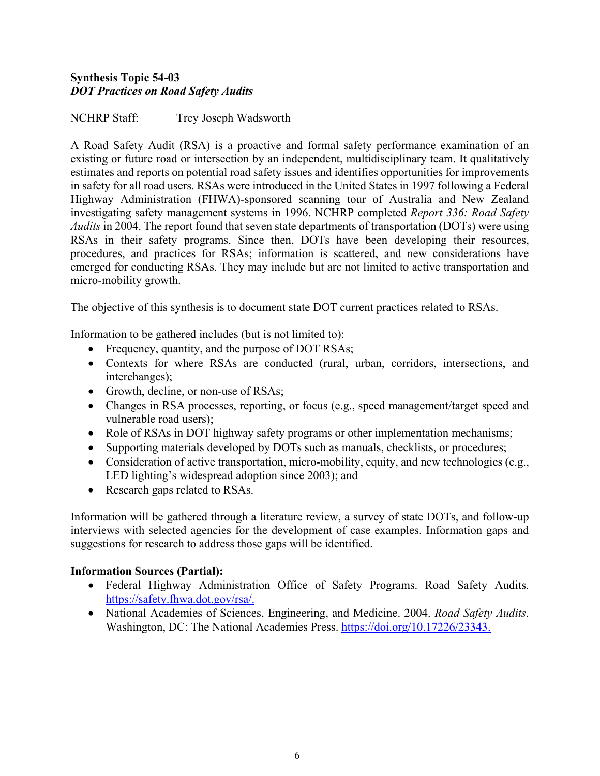# <span id="page-5-0"></span>**Synthesis Topic 54-03** *DOT Practices on Road Safety Audits*

NCHRP Staff: Trey Joseph Wadsworth

A Road Safety Audit (RSA) is a proactive and formal safety performance examination of an existing or future road or intersection by an independent, multidisciplinary team. It qualitatively estimates and reports on potential road safety issues and identifies opportunities for improvements in safety for all road users. RSAs were introduced in the United States in 1997 following a Federal Highway Administration (FHWA)-sponsored scanning tour of Australia and New Zealand investigating safety management systems in 1996. NCHRP completed *Report 336: Road Safety Audits* in 2004. The report found that seven state departments of transportation (DOTs) were using RSAs in their safety programs. Since then, DOTs have been developing their resources, procedures, and practices for RSAs; information is scattered, and new considerations have emerged for conducting RSAs. They may include but are not limited to active transportation and micro-mobility growth.

The objective of this synthesis is to document state DOT current practices related to RSAs.

Information to be gathered includes (but is not limited to):

- Frequency, quantity, and the purpose of DOT RSAs;
- Contexts for where RSAs are conducted (rural, urban, corridors, intersections, and interchanges);
- Growth, decline, or non-use of RSAs;
- Changes in RSA processes, reporting, or focus (e.g., speed management/target speed and vulnerable road users);
- Role of RSAs in DOT highway safety programs or other implementation mechanisms;
- Supporting materials developed by DOTs such as manuals, checklists, or procedures;
- Consideration of active transportation, micro-mobility, equity, and new technologies (e.g., LED lighting's widespread adoption since 2003); and
- Research gaps related to RSAs.

Information will be gathered through a literature review, a survey of state DOTs, and follow-up interviews with selected agencies for the development of case examples. Information gaps and suggestions for research to address those gaps will be identified.

- Federal Highway Administration Office of Safety Programs. Road Safety Audits. [https://safety.fhwa.dot.gov/rsa/.](https://safety.fhwa.dot.gov/rsa/)
- National Academies of Sciences, Engineering, and Medicine. 2004. *Road Safety Audits*. Washington, DC: The National Academies Press. [https://doi.org/10.17226/23343.](https://doi.org/10.17226/23343)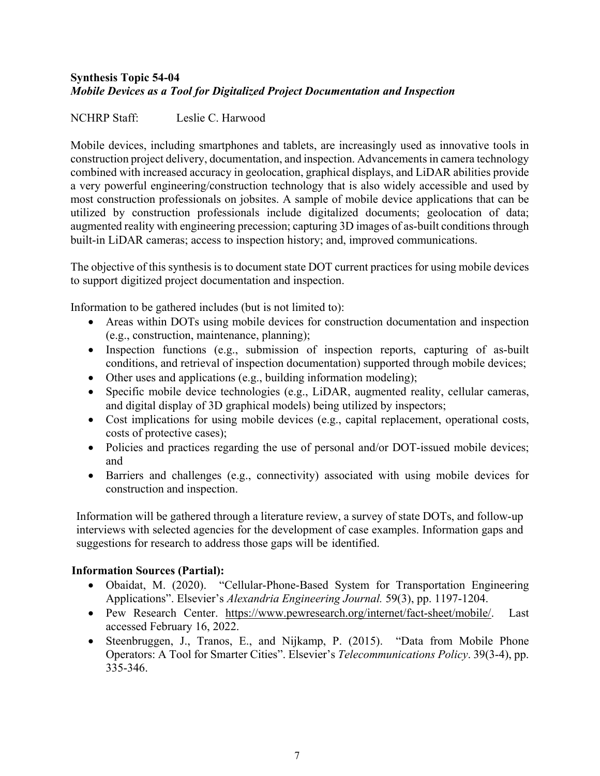# <span id="page-6-0"></span>**Synthesis Topic 54-04** *Mobile Devices as a Tool for Digitalized Project Documentation and Inspection*

# NCHRP Staff: Leslie C. Harwood

Mobile devices, including smartphones and tablets, are increasingly used as innovative tools in construction project delivery, documentation, and inspection. Advancements in camera technology combined with increased accuracy in geolocation, graphical displays, and LiDAR abilities provide a very powerful engineering/construction technology that is also widely accessible and used by most construction professionals on jobsites. A sample of mobile device applications that can be utilized by construction professionals include digitalized documents; geolocation of data; augmented reality with engineering precession; capturing 3D images of as-built conditions through built-in LiDAR cameras; access to inspection history; and, improved communications.

The objective of this synthesis is to document state DOT current practices for using mobile devices to support digitized project documentation and inspection.

Information to be gathered includes (but is not limited to):

- Areas within DOTs using mobile devices for construction documentation and inspection (e.g., construction, maintenance, planning);
- Inspection functions (e.g., submission of inspection reports, capturing of as-built conditions, and retrieval of inspection documentation) supported through mobile devices;
- Other uses and applications (e.g., building information modeling);
- Specific mobile device technologies (e.g., LiDAR, augmented reality, cellular cameras, and digital display of 3D graphical models) being utilized by inspectors;
- Cost implications for using mobile devices (e.g., capital replacement, operational costs, costs of protective cases);
- Policies and practices regarding the use of personal and/or DOT-issued mobile devices; and
- Barriers and challenges (e.g., connectivity) associated with using mobile devices for construction and inspection.

Information will be gathered through a literature review, a survey of state DOTs, and follow-up interviews with selected agencies for the development of case examples. Information gaps and suggestions for research to address those gaps will be identified.

- Obaidat, M. (2020). "Cellular-Phone-Based System for Transportation Engineering Applications". Elsevier's *Alexandria Engineering Journal.* 59(3), pp. 1197-1204.
- Pew Research Center. [https://www.pewresearch.org/internet/fact-sheet/mobile/.](https://www.pewresearch.org/internet/fact-sheet/mobile/) Last accessed February 16, 2022.
- Steenbruggen, J., Tranos, E., and Nijkamp, P. (2015). "Data from Mobile Phone Operators: A Tool for Smarter Cities". Elsevier's *Telecommunications Policy*. 39(3-4), pp. 335-346.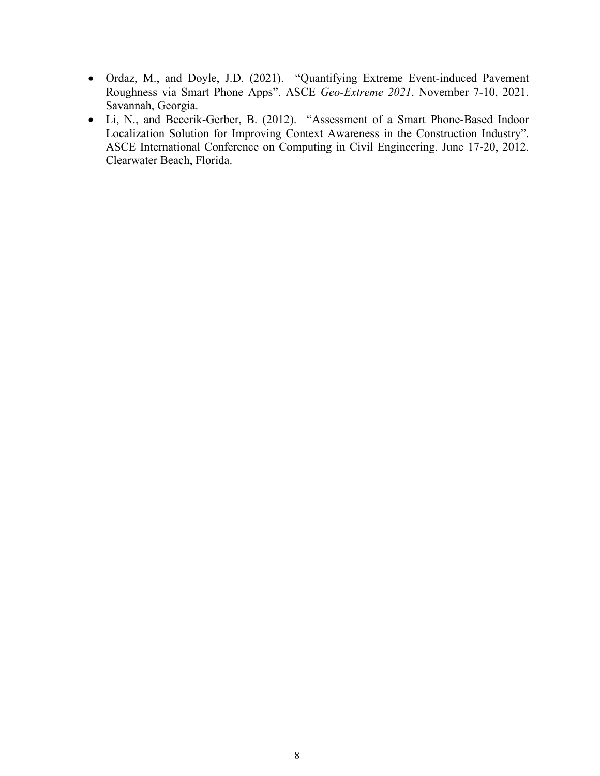- Ordaz, M., and Doyle, J.D. (2021). "Quantifying Extreme Event-induced Pavement Roughness via Smart Phone Apps". ASCE *Geo-Extreme 2021*. November 7-10, 2021. Savannah, Georgia.
- Li, N., and Becerik-Gerber, B. (2012). "Assessment of a Smart Phone-Based Indoor Localization Solution for Improving Context Awareness in the Construction Industry". ASCE International Conference on Computing in Civil Engineering. June 17-20, 2012. Clearwater Beach, Florida.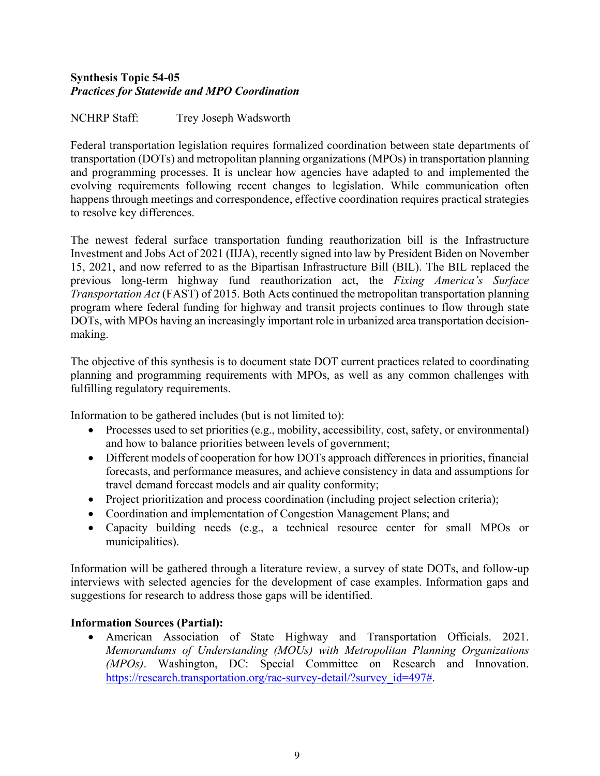# <span id="page-8-0"></span>**Synthesis Topic 54-05**  *Practices for Statewide and MPO Coordination*

NCHRP Staff: Trey Joseph Wadsworth

Federal transportation legislation requires formalized coordination between state departments of transportation (DOTs) and metropolitan planning organizations (MPOs) in transportation planning and programming processes. It is unclear how agencies have adapted to and implemented the evolving requirements following recent changes to legislation. While communication often happens through meetings and correspondence, effective coordination requires practical strategies to resolve key differences.

The newest federal surface transportation funding reauthorization bill is the Infrastructure Investment and Jobs Act of 2021 (IIJA), recently signed into law by President Biden on November 15, 2021, and now referred to as the Bipartisan Infrastructure Bill (BIL). The BIL replaced the previous long-term highway fund reauthorization act, the *Fixing America's Surface Transportation Act* (FAST) of 2015. Both Acts continued the metropolitan transportation planning program where federal funding for highway and transit projects continues to flow through state DOTs, with MPOs having an increasingly important role in urbanized area transportation decisionmaking.

The objective of this synthesis is to document state DOT current practices related to coordinating planning and programming requirements with MPOs, as well as any common challenges with fulfilling regulatory requirements.

Information to be gathered includes (but is not limited to):

- Processes used to set priorities (e.g., mobility, accessibility, cost, safety, or environmental) and how to balance priorities between levels of government;
- Different models of cooperation for how DOTs approach differences in priorities, financial forecasts, and performance measures, and achieve consistency in data and assumptions for travel demand forecast models and air quality conformity;
- Project prioritization and process coordination (including project selection criteria);
- Coordination and implementation of Congestion Management Plans; and
- Capacity building needs (e.g., a technical resource center for small MPOs or municipalities).

Information will be gathered through a literature review, a survey of state DOTs, and follow-up interviews with selected agencies for the development of case examples. Information gaps and suggestions for research to address those gaps will be identified.

# **Information Sources (Partial):**

• American Association of State Highway and Transportation Officials. 2021. *Memorandums of Understanding (MOUs) with Metropolitan Planning Organizations (MPOs)*. Washington, DC: Special Committee on Research and Innovation. [https://research.transportation.org/rac-survey-detail/?survey\\_id=497#.](https://research.transportation.org/rac-survey-detail/?survey_id=497)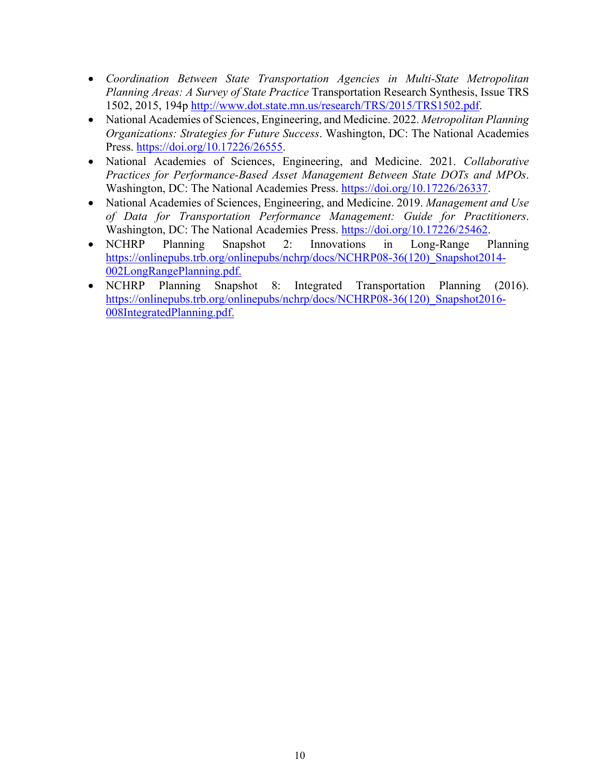- *[Coordination](https://trid.trb.org/View/1344397) [Between State Transportation Agencies in Multi-State Metropolitan](https://trid.trb.org/View/1344397)  [Planning Areas: A Survey of State Practice](https://trid.trb.org/View/1344397)* Transportation Research Synthesis, Issue TRS 1502, 2015, 194p [http://www.dot.state.mn.us/research/TRS/2015/TRS1502.pdf.](http://www.dot.state.mn.us/research/TRS/2015/TRS1502.pdf)
- National Academies of Sciences, Engineering, and Medicine. 2022. *Metropolitan Planning Organizations: Strategies for Future Success*. Washington, DC: The National Academies Press. [https://doi.org/10.17226/26555.](https://doi.org/10.17226/26555)
- National Academies of Sciences, Engineering, and Medicine. 2021. *Collaborative Practices for Performance-Based Asset Management Between State DOTs and MPOs*. Washington, DC: The National Academies Press. [https://doi.org/10.17226/26337.](https://doi.org/10.17226/26337)
- National Academies of Sciences, Engineering, and Medicine. 2019. *Management and Use of Data for Transportation Performance Management: Guide for Practitioners*. Washington, DC: The National Academies Press. [https://doi.org/10.17226/25462.](https://doi.org/10.17226/25462)
- NCHRP Planning Snapshot 2: Innovations in Long-Range Planning https://onlinepubs.trb.org/onlinepubs/nchrp/docs/NCHRP08-36(120) Snapshot2014-[002LongRangePlanning.pdf.](https://onlinepubs.trb.org/onlinepubs/nchrp/docs/NCHRP08-36(120)_Snapshot2014-002LongRangePlanning.pdf)
- NCHRP Planning Snapshot 8: Integrated Transportation Planning (2016). https://onlinepubs.trb.org/onlinepubs/nchrp/docs/NCHRP08-36(120) Snapshot2016-[008IntegratedPlanning.pdf.](https://onlinepubs.trb.org/onlinepubs/nchrp/docs/NCHRP08-36(120)_Snapshot2016-008IntegratedPlanning.pdf)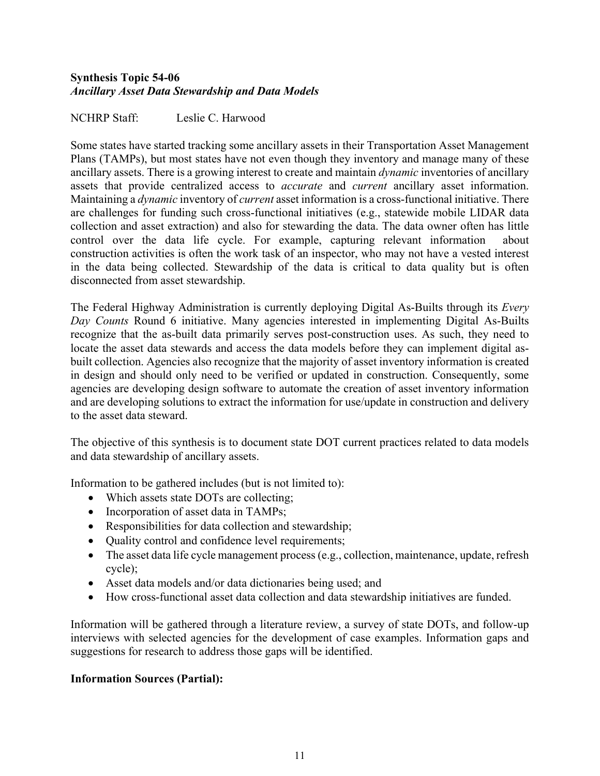# <span id="page-10-0"></span>**Synthesis Topic 54-06**  *Ancillary Asset Data Stewardship and Data Models*

NCHRP Staff: Leslie C. Harwood

Some states have started tracking some ancillary assets in their Transportation Asset Management Plans (TAMPs), but most states have not even though they inventory and manage many of these ancillary assets. There is a growing interest to create and maintain *dynamic* inventories of ancillary assets that provide centralized access to *accurate* and *current* ancillary asset information. Maintaining a *dynamic* inventory of *current* asset information is a cross-functional initiative. There are challenges for funding such cross-functional initiatives (e.g., statewide mobile LIDAR data collection and asset extraction) and also for stewarding the data. The data owner often has little control over the data life cycle. For example, capturing relevant information about construction activities is often the work task of an inspector, who may not have a vested interest in the data being collected. Stewardship of the data is critical to data quality but is often disconnected from asset stewardship.

The Federal Highway Administration is currently deploying Digital As-Builts through its *Every Day Counts* Round 6 initiative. Many agencies interested in implementing Digital As-Builts recognize that the as-built data primarily serves post-construction uses. As such, they need to locate the asset data stewards and access the data models before they can implement digital asbuilt collection. Agencies also recognize that the majority of asset inventory information is created in design and should only need to be verified or updated in construction. Consequently, some agencies are developing design software to automate the creation of asset inventory information and are developing solutions to extract the information for use/update in construction and delivery to the asset data steward.

The objective of this synthesis is to document state DOT current practices related to data models and data stewardship of ancillary assets.

Information to be gathered includes (but is not limited to):

- Which assets state DOTs are collecting;
- Incorporation of asset data in TAMPs;
- Responsibilities for data collection and stewardship;
- Quality control and confidence level requirements;
- The asset data life cycle management process (e.g., collection, maintenance, update, refresh cycle);
- Asset data models and/or data dictionaries being used; and
- How cross-functional asset data collection and data stewardship initiatives are funded.

Information will be gathered through a literature review, a survey of state DOTs, and follow-up interviews with selected agencies for the development of case examples. Information gaps and suggestions for research to address those gaps will be identified.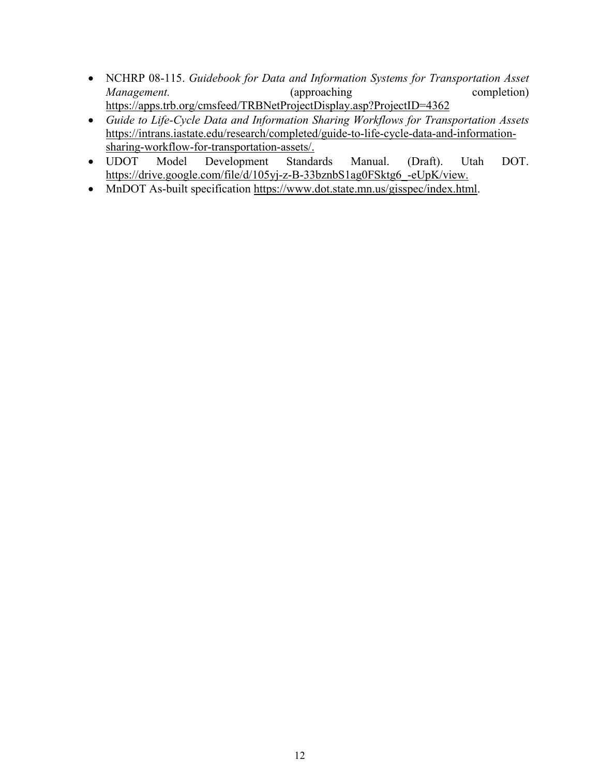- NCHRP 08-115. *Guidebook for Data and Information Systems for Transportation Asset Management.* (approaching completion) <https://apps.trb.org/cmsfeed/TRBNetProjectDisplay.asp?ProjectID=4362>
- *Guide to Life-Cycle Data and Information Sharing Workflows for Transportation Assets* [https://intrans.iastate.edu/research/completed/guide-to-life-cycle-data-and-information](https://intrans.iastate.edu/research/completed/guide-to-life-cycle-data-and-information-sharing-workflow-for-transportation-assets/)[sharing-workflow-for-transportation-assets/.](https://intrans.iastate.edu/research/completed/guide-to-life-cycle-data-and-information-sharing-workflow-for-transportation-assets/)
- UDOT Model Development Standards Manual. (Draft). Utah DOT. [https://drive.google.com/file/d/105yj-z-B-33bznbS1ag0FSktg6\\_-eUpK/view.](https://drive.google.com/file/d/105yj-z-B-33bznbS1ag0FSktg6_-eUpK/view)
- MnDOT As-built specification [https://www.dot.state.mn.us/gisspec/index.html.](https://www.dot.state.mn.us/gisspec/index.html)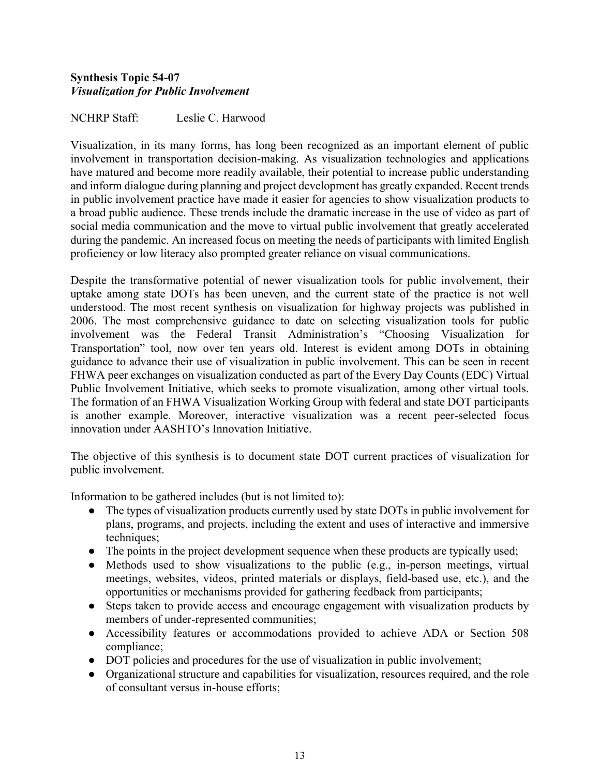# <span id="page-12-0"></span>**Synthesis Topic 54-07** *Visualization for Public Involvement*

NCHRP Staff: Leslie C. Harwood

Visualization, in its many forms, has long been recognized as an important element of public involvement in transportation decision-making. As visualization technologies and applications have matured and become more readily available, their potential to increase public understanding and inform dialogue during planning and project development has greatly expanded. Recent trends in public involvement practice have made it easier for agencies to show visualization products to a broad public audience. These trends include the dramatic increase in the use of video as part of social media communication and the move to virtual public involvement that greatly accelerated during the pandemic. An increased focus on meeting the needs of participants with limited English proficiency or low literacy also prompted greater reliance on visual communications.

Despite the transformative potential of newer visualization tools for public involvement, their uptake among state DOTs has been uneven, and the current state of the practice is not well understood. The most recent synthesis on visualization for highway projects was published in 2006. The most comprehensive guidance to date on selecting visualization tools for public involvement was the Federal Transit Administration's "Choosing Visualization for Transportation" tool, now over ten years old. Interest is evident among DOTs in obtaining guidance to advance their use of visualization in public involvement. This can be seen in recent FHWA peer exchanges on visualization conducted as part of the Every Day Counts (EDC) Virtual Public Involvement Initiative, which seeks to promote visualization, among other virtual tools. The formation of an FHWA Visualization Working Group with federal and state DOT participants is another example. Moreover, interactive visualization was a recent peer-selected focus innovation under AASHTO's Innovation Initiative.

The objective of this synthesis is to document state DOT current practices of visualization for public involvement.

Information to be gathered includes (but is not limited to):

- The types of visualization products currently used by state DOTs in public involvement for plans, programs, and projects, including the extent and uses of interactive and immersive techniques;
- The points in the project development sequence when these products are typically used;
- Methods used to show visualizations to the public (e.g., in-person meetings, virtual meetings, websites, videos, printed materials or displays, field-based use, etc.), and the opportunities or mechanisms provided for gathering feedback from participants;
- Steps taken to provide access and encourage engagement with visualization products by members of under-represented communities;
- Accessibility features or accommodations provided to achieve ADA or Section 508 compliance;
- DOT policies and procedures for the use of visualization in public involvement;
- Organizational structure and capabilities for visualization, resources required, and the role of consultant versus in-house efforts;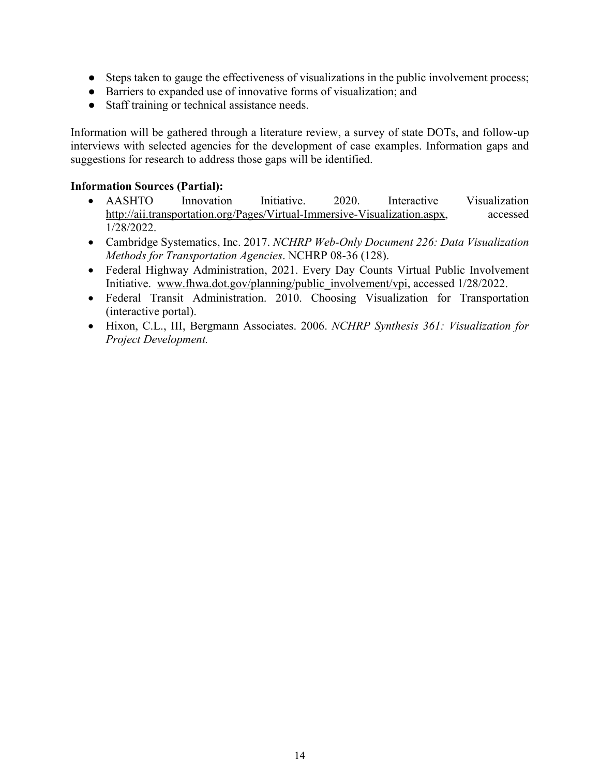- Steps taken to gauge the effectiveness of visualizations in the public involvement process;
- Barriers to expanded use of innovative forms of visualization; and
- Staff training or technical assistance needs.

Information will be gathered through a literature review, a survey of state DOTs, and follow-up interviews with selected agencies for the development of case examples. Information gaps and suggestions for research to address those gaps will be identified.

- AASHTO Innovation Initiative. 2020. Interactive Visualization [http://aii.transportation.org/Pages/Virtual-Immersive-Visualization.aspx,](http://aii.transportation.org/Pages/Virtual-Immersive-Visualization.aspx) accessed 1/28/2022.
- Cambridge Systematics, Inc. 2017. *NCHRP Web-Only Document 226: Data Visualization Methods for Transportation Agencies*. NCHRP 08-36 (128).
- Federal Highway Administration, 2021. Every Day Counts Virtual Public Involvement Initiative. [www.fhwa.dot.gov/planning/public\\_involvement/vpi,](http://www.fhwa.dot.gov/planning/public_involvement/vpi) accessed 1/28/2022.
- Federal Transit Administration. 2010. Choosing Visualization for Transportation (interactive portal).
- Hixon, C.L., III, Bergmann Associates. 2006. *NCHRP Synthesis 361: Visualization for Project Development.*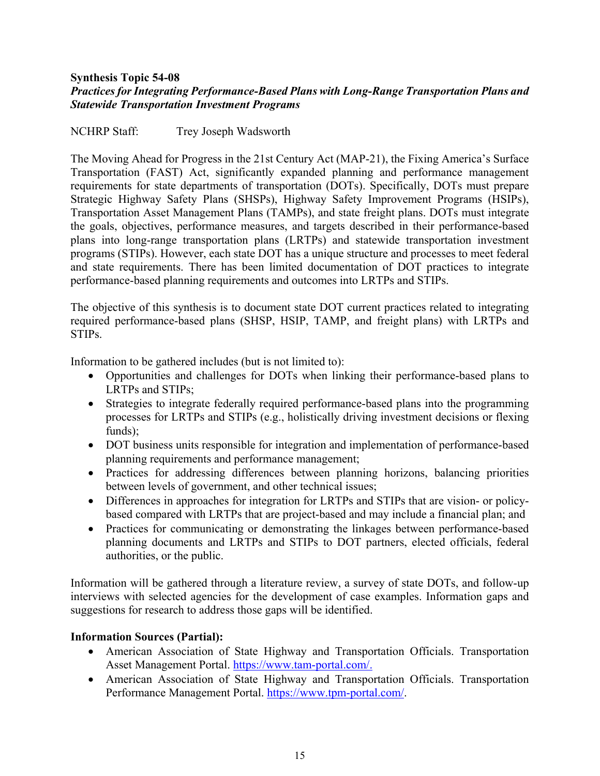## <span id="page-14-0"></span>**Synthesis Topic 54-08** *Practices for Integrating Performance-Based Plans with Long-Range Transportation Plans and Statewide Transportation Investment Programs*

NCHRP Staff: Trey Joseph Wadsworth

The Moving Ahead for Progress in the 21st Century Act (MAP-21), the Fixing America's Surface Transportation (FAST) Act, significantly expanded planning and performance management requirements for state departments of transportation (DOTs). Specifically, DOTs must prepare Strategic Highway Safety Plans (SHSPs), Highway Safety Improvement Programs (HSIPs), Transportation Asset Management Plans (TAMPs), and state freight plans. DOTs must integrate the goals, objectives, performance measures, and targets described in their performance-based plans into long-range transportation plans (LRTPs) and statewide transportation investment programs (STIPs). However, each state DOT has a unique structure and processes to meet federal and state requirements. There has been limited documentation of DOT practices to integrate performance-based planning requirements and outcomes into LRTPs and STIPs.

The objective of this synthesis is to document state DOT current practices related to integrating required performance-based plans (SHSP, HSIP, TAMP, and freight plans) with LRTPs and STIPs.

Information to be gathered includes (but is not limited to):

- Opportunities and challenges for DOTs when linking their performance-based plans to LRTPs and STIPs;
- Strategies to integrate federally required performance-based plans into the programming processes for LRTPs and STIPs (e.g., holistically driving investment decisions or flexing funds);
- DOT business units responsible for integration and implementation of performance-based planning requirements and performance management;
- Practices for addressing differences between planning horizons, balancing priorities between levels of government, and other technical issues;
- Differences in approaches for integration for LRTPs and STIPs that are vision- or policybased compared with LRTPs that are project-based and may include a financial plan; and
- Practices for communicating or demonstrating the linkages between performance-based planning documents and LRTPs and STIPs to DOT partners, elected officials, federal authorities, or the public.

Information will be gathered through a literature review, a survey of state DOTs, and follow-up interviews with selected agencies for the development of case examples. Information gaps and suggestions for research to address those gaps will be identified.

- American Association of State Highway and Transportation Officials. Transportation Asset Management Portal. [https://www.tam-portal.com/.](https://www.tam-portal.com/)
- American Association of State Highway and Transportation Officials. Transportation Performance Management Portal. [https://www.tpm-portal.com/.](https://www.tpm-portal.com/)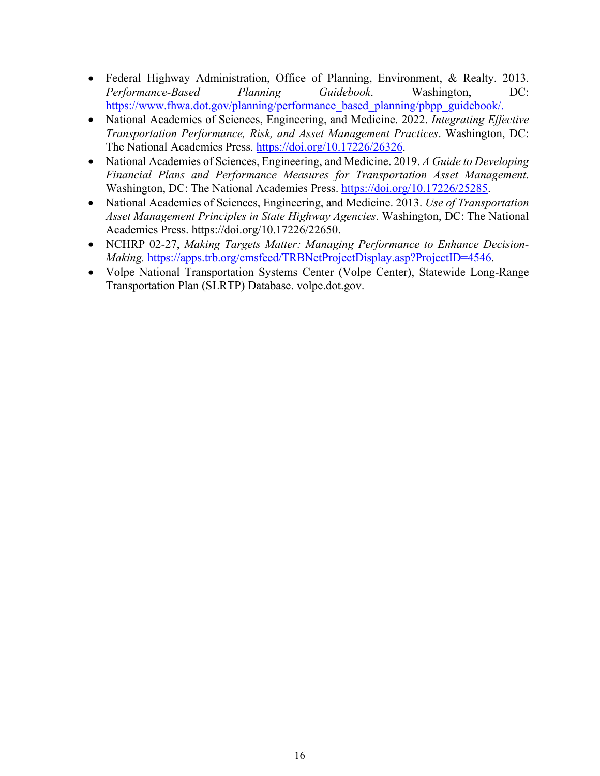- Federal Highway Administration, Office of Planning, Environment, & Realty. 2013. *Performance-Based Planning Guidebook*. Washington, DC: [https://www.fhwa.dot.gov/planning/performance\\_based\\_planning/pbpp\\_guidebook/.](https://www.fhwa.dot.gov/planning/performance_based_planning/pbpp_guidebook/)
- National Academies of Sciences, Engineering, and Medicine. 2022. *Integrating Effective Transportation Performance, Risk, and Asset Management Practices*. Washington, DC: The National Academies Press. [https://doi.org/10.17226/26326.](https://doi.org/10.17226/26326)
- National Academies of Sciences, Engineering, and Medicine. 2019. *A Guide to Developing Financial Plans and Performance Measures for Transportation Asset Management*. Washington, DC: The National Academies Press. [https://doi.org/10.17226/25285.](https://doi.org/10.17226/25285)
- National Academies of Sciences, Engineering, and Medicine. 2013. *Use of Transportation Asset Management Principles in State Highway Agencies*. Washington, DC: The National Academies Press. https://doi.org/10.17226/22650.
- NCHRP 02-27, *Making Targets Matter: Managing Performance to Enhance Decision-Making.* [https://apps.trb.org/cmsfeed/TRBNetProjectDisplay.asp?ProjectID=4546.](https://apps.trb.org/cmsfeed/TRBNetProjectDisplay.asp?ProjectID=4546)
- Volpe National Transportation Systems Center (Volpe Center), Statewide Long-Range Transportation Plan (SLRTP) Database. volpe.dot.gov.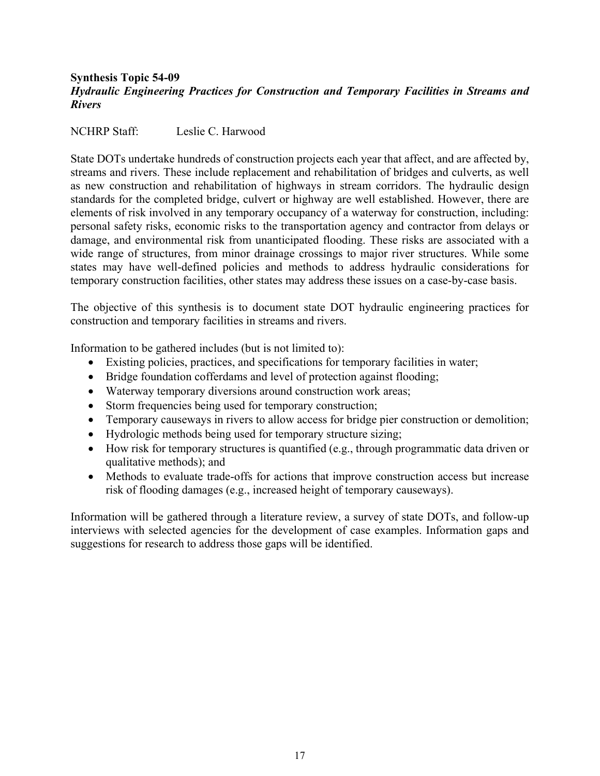## <span id="page-16-0"></span>**Synthesis Topic 54-09** *Hydraulic Engineering Practices for Construction and Temporary Facilities in Streams and Rivers*

NCHRP Staff: Leslie C. Harwood

State DOTs undertake hundreds of construction projects each year that affect, and are affected by, streams and rivers. These include replacement and rehabilitation of bridges and culverts, as well as new construction and rehabilitation of highways in stream corridors. The hydraulic design standards for the completed bridge, culvert or highway are well established. However, there are elements of risk involved in any temporary occupancy of a waterway for construction, including: personal safety risks, economic risks to the transportation agency and contractor from delays or damage, and environmental risk from unanticipated flooding. These risks are associated with a wide range of structures, from minor drainage crossings to major river structures. While some states may have well-defined policies and methods to address hydraulic considerations for temporary construction facilities, other states may address these issues on a case-by-case basis.

The objective of this synthesis is to document state DOT hydraulic engineering practices for construction and temporary facilities in streams and rivers.

Information to be gathered includes (but is not limited to):

- Existing policies, practices, and specifications for temporary facilities in water;
- Bridge foundation cofferdams and level of protection against flooding;
- Waterway temporary diversions around construction work areas;
- Storm frequencies being used for temporary construction;
- Temporary causeways in rivers to allow access for bridge pier construction or demolition;
- Hydrologic methods being used for temporary structure sizing;
- How risk for temporary structures is quantified (e.g., through programmatic data driven or qualitative methods); and
- Methods to evaluate trade-offs for actions that improve construction access but increase risk of flooding damages (e.g., increased height of temporary causeways).

Information will be gathered through a literature review, a survey of state DOTs, and follow-up interviews with selected agencies for the development of case examples. Information gaps and suggestions for research to address those gaps will be identified.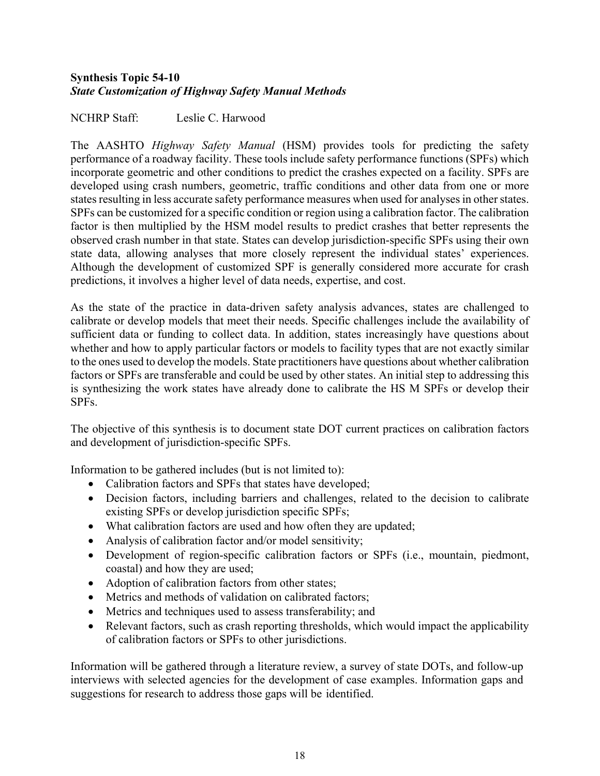## <span id="page-17-0"></span>**Synthesis Topic 54-10** *State Customization of Highway Safety Manual Methods*

NCHRP Staff: Leslie C. Harwood

The AASHTO *Highway Safety Manual* (HSM) provides tools for predicting the safety performance of a roadway facility. These tools include safety performance functions (SPFs) which incorporate geometric and other conditions to predict the crashes expected on a facility. SPFs are developed using crash numbers, geometric, traffic conditions and other data from one or more states resulting in less accurate safety performance measures when used for analyses in other states. SPFs can be customized for a specific condition or region using a calibration factor. The calibration factor is then multiplied by the HSM model results to predict crashes that better represents the observed crash number in that state. States can develop jurisdiction-specific SPFs using their own state data, allowing analyses that more closely represent the individual states' experiences. Although the development of customized SPF is generally considered more accurate for crash predictions, it involves a higher level of data needs, expertise, and cost.

As the state of the practice in data-driven safety analysis advances, states are challenged to calibrate or develop models that meet their needs. Specific challenges include the availability of sufficient data or funding to collect data. In addition, states increasingly have questions about whether and how to apply particular factors or models to facility types that are not exactly similar to the ones used to develop the models. State practitioners have questions about whether calibration factors or SPFs are transferable and could be used by other states. An initial step to addressing this is synthesizing the work states have already done to calibrate the HS M SPFs or develop their SPFs.

The objective of this synthesis is to document state DOT current practices on calibration factors and development of jurisdiction-specific SPFs.

Information to be gathered includes (but is not limited to):

- Calibration factors and SPFs that states have developed;
- Decision factors, including barriers and challenges, related to the decision to calibrate existing SPFs or develop jurisdiction specific SPFs;
- What calibration factors are used and how often they are updated;
- Analysis of calibration factor and/or model sensitivity;
- Development of region-specific calibration factors or SPFs (i.e., mountain, piedmont, coastal) and how they are used;
- Adoption of calibration factors from other states;
- Metrics and methods of validation on calibrated factors:
- Metrics and techniques used to assess transferability; and
- Relevant factors, such as crash reporting thresholds, which would impact the applicability of calibration factors or SPFs to other jurisdictions.

Information will be gathered through a literature review, a survey of state DOTs, and follow-up interviews with selected agencies for the development of case examples. Information gaps and suggestions for research to address those gaps will be identified.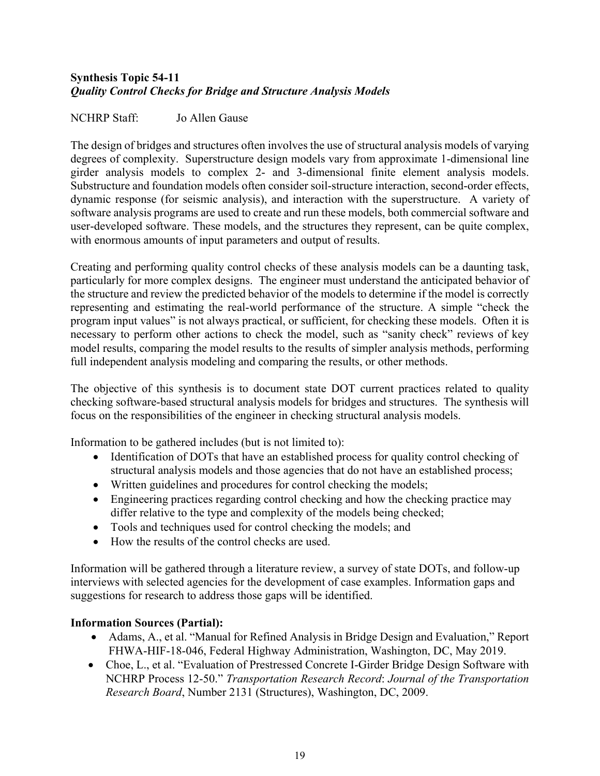# <span id="page-18-0"></span>**Synthesis Topic 54-11** *Quality Control Checks for Bridge and Structure Analysis Models*

# NCHRP Staff: Jo Allen Gause

The design of bridges and structures often involves the use of structural analysis models of varying degrees of complexity. Superstructure design models vary from approximate 1-dimensional line girder analysis models to complex 2- and 3-dimensional finite element analysis models. Substructure and foundation models often consider soil-structure interaction, second-order effects, dynamic response (for seismic analysis), and interaction with the superstructure. A variety of software analysis programs are used to create and run these models, both commercial software and user-developed software. These models, and the structures they represent, can be quite complex, with enormous amounts of input parameters and output of results.

Creating and performing quality control checks of these analysis models can be a daunting task, particularly for more complex designs. The engineer must understand the anticipated behavior of the structure and review the predicted behavior of the models to determine if the model is correctly representing and estimating the real-world performance of the structure. A simple "check the program input values" is not always practical, or sufficient, for checking these models. Often it is necessary to perform other actions to check the model, such as "sanity check" reviews of key model results, comparing the model results to the results of simpler analysis methods, performing full independent analysis modeling and comparing the results, or other methods.

The objective of this synthesis is to document state DOT current practices related to quality checking software-based structural analysis models for bridges and structures. The synthesis will focus on the responsibilities of the engineer in checking structural analysis models.

Information to be gathered includes (but is not limited to):

- Identification of DOTs that have an established process for quality control checking of structural analysis models and those agencies that do not have an established process;
- Written guidelines and procedures for control checking the models;
- Engineering practices regarding control checking and how the checking practice may differ relative to the type and complexity of the models being checked;
- Tools and techniques used for control checking the models; and
- How the results of the control checks are used.

Information will be gathered through a literature review, a survey of state DOTs, and follow-up interviews with selected agencies for the development of case examples. Information gaps and suggestions for research to address those gaps will be identified.

- Adams, A., et al. "Manual for Refined Analysis in Bridge Design and Evaluation," Report FHWA-HIF-18-046, Federal Highway Administration, Washington, DC, May 2019.
- Choe, L., et al. "Evaluation of Prestressed Concrete I-Girder Bridge Design Software with NCHRP Process 12-50." *Transportation Research Record*: *Journal of the Transportation Research Board*, Number 2131 (Structures), Washington, DC, 2009.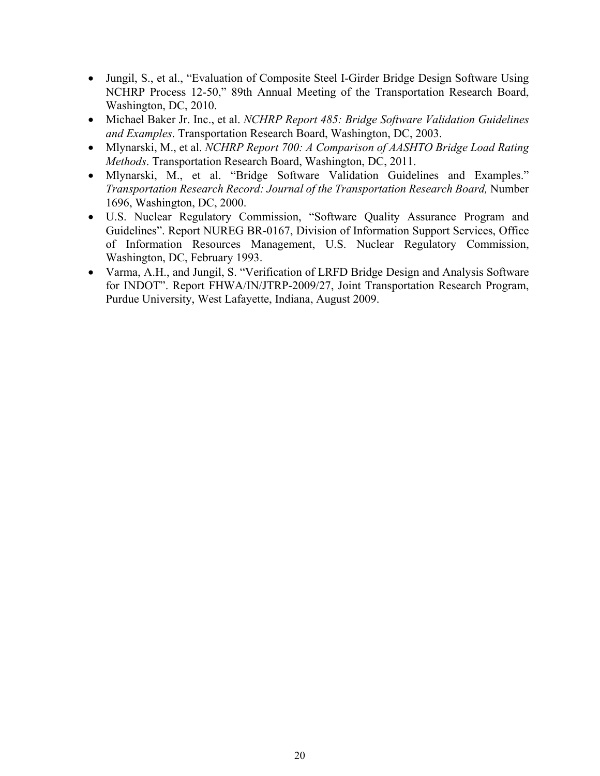- Jungil, S., et al., "Evaluation of Composite Steel I-Girder Bridge Design Software Using NCHRP Process 12-50," 89th Annual Meeting of the Transportation Research Board, Washington, DC, 2010.
- Michael Baker Jr. Inc., et al. *NCHRP Report 485: Bridge Software Validation Guidelines and Examples*. Transportation Research Board, Washington, DC, 2003.
- Mlynarski, M., et al. *NCHRP Report 700: A Comparison of AASHTO Bridge Load Rating Methods*. Transportation Research Board, Washington, DC, 2011.
- Mlynarski, M., et al. "Bridge Software Validation Guidelines and Examples." *Transportation Research Record: Journal of the Transportation Research Board,* Number 1696, Washington, DC, 2000.
- U.S. Nuclear Regulatory Commission, "Software Quality Assurance Program and Guidelines". Report NUREG BR-0167, Division of Information Support Services, Office of Information Resources Management, U.S. Nuclear Regulatory Commission, Washington, DC, February 1993.
- Varma, A.H., and Jungil, S. "Verification of LRFD Bridge Design and Analysis Software for INDOT". Report FHWA/IN/JTRP-2009/27, Joint Transportation Research Program, Purdue University, West Lafayette, Indiana, August 2009.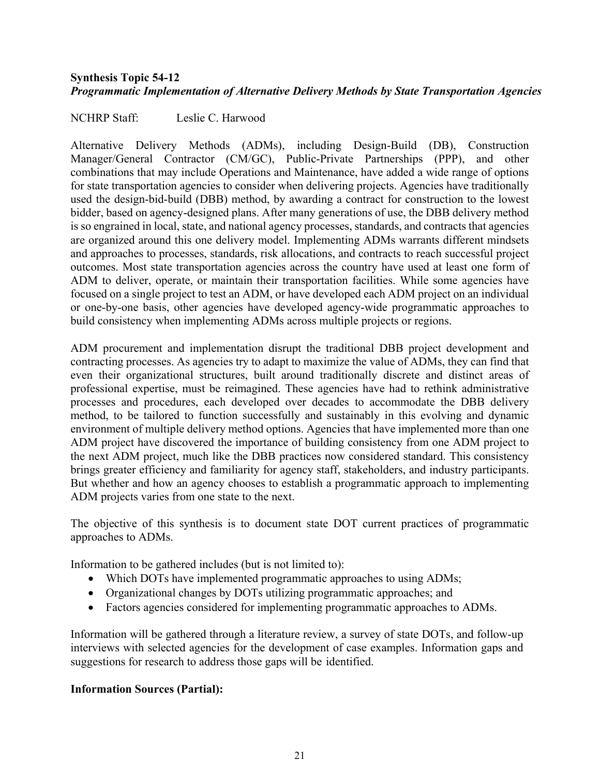### <span id="page-20-0"></span>**Synthesis Topic 54-12** *Programmatic Implementation of Alternative Delivery Methods by State Transportation Agencies*

NCHRP Staff: Leslie C. Harwood

Alternative Delivery Methods (ADMs), including Design-Build (DB), Construction Manager/General Contractor (CM/GC), Public-Private Partnerships (PPP), and other combinations that may include Operations and Maintenance, have added a wide range of options for state transportation agencies to consider when delivering projects. Agencies have traditionally used the design-bid-build (DBB) method, by awarding a contract for construction to the lowest bidder, based on agency-designed plans. After many generations of use, the DBB delivery method is so engrained in local, state, and national agency processes, standards, and contracts that agencies are organized around this one delivery model. Implementing ADMs warrants different mindsets and approaches to processes, standards, risk allocations, and contracts to reach successful project outcomes. Most state transportation agencies across the country have used at least one form of ADM to deliver, operate, or maintain their transportation facilities. While some agencies have focused on a single project to test an ADM, or have developed each ADM project on an individual or one-by-one basis, other agencies have developed agency-wide programmatic approaches to build consistency when implementing ADMs across multiple projects or regions.

ADM procurement and implementation disrupt the traditional DBB project development and contracting processes. As agencies try to adapt to maximize the value of ADMs, they can find that even their organizational structures, built around traditionally discrete and distinct areas of professional expertise, must be reimagined. These agencies have had to rethink administrative processes and procedures, each developed over decades to accommodate the DBB delivery method, to be tailored to function successfully and sustainably in this evolving and dynamic environment of multiple delivery method options. Agencies that have implemented more than one ADM project have discovered the importance of building consistency from one ADM project to the next ADM project, much like the DBB practices now considered standard. This consistency brings greater efficiency and familiarity for agency staff, stakeholders, and industry participants. But whether and how an agency chooses to establish a programmatic approach to implementing ADM projects varies from one state to the next.

The objective of this synthesis is to document state DOT current practices of programmatic approaches to ADMs.

Information to be gathered includes (but is not limited to):

- Which DOTs have implemented programmatic approaches to using ADMs;
- Organizational changes by DOTs utilizing programmatic approaches; and
- Factors agencies considered for implementing programmatic approaches to ADMs.

Information will be gathered through a literature review, a survey of state DOTs, and follow-up interviews with selected agencies for the development of case examples. Information gaps and suggestions for research to address those gaps will be identified.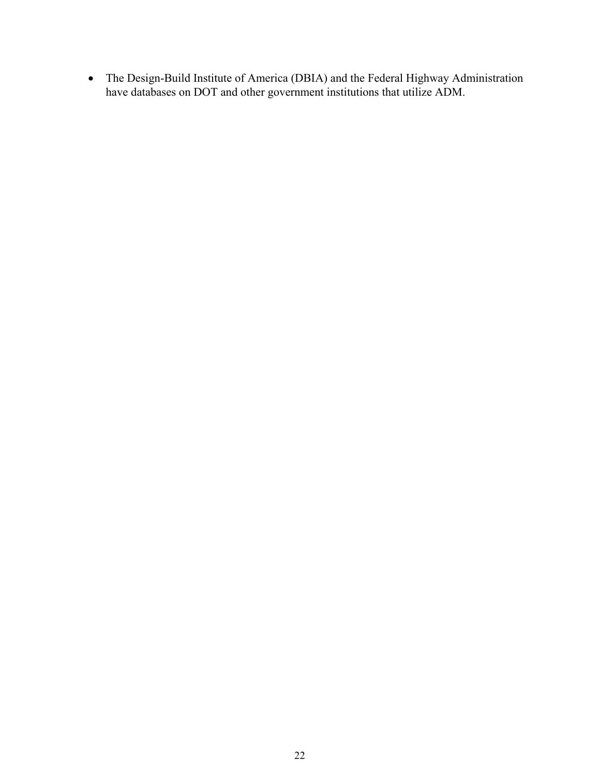• The Design-Build Institute of America (DBIA) and the Federal Highway Administration have databases on DOT and other government institutions that utilize ADM.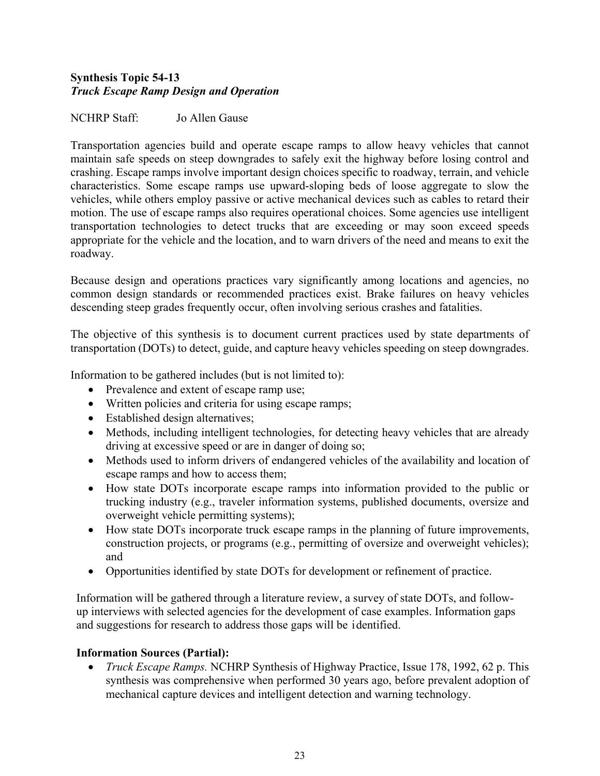# <span id="page-22-0"></span>**Synthesis Topic 54-13**  *Truck Escape Ramp Design and Operation*

## NCHRP Staff: Jo Allen Gause

Transportation agencies build and operate escape ramps to allow heavy vehicles that cannot maintain safe speeds on steep downgrades to safely exit the highway before losing control and crashing. Escape ramps involve important design choices specific to roadway, terrain, and vehicle characteristics. Some escape ramps use upward-sloping beds of loose aggregate to slow the vehicles, while others employ passive or active mechanical devices such as cables to retard their motion. The use of escape ramps also requires operational choices. Some agencies use intelligent transportation technologies to detect trucks that are exceeding or may soon exceed speeds appropriate for the vehicle and the location, and to warn drivers of the need and means to exit the roadway.

Because design and operations practices vary significantly among locations and agencies, no common design standards or recommended practices exist. Brake failures on heavy vehicles descending steep grades frequently occur, often involving serious crashes and fatalities.

The objective of this synthesis is to document current practices used by state departments of transportation (DOTs) to detect, guide, and capture heavy vehicles speeding on steep downgrades.

Information to be gathered includes (but is not limited to):

- Prevalence and extent of escape ramp use;
- Written policies and criteria for using escape ramps;
- Established design alternatives;
- Methods, including intelligent technologies, for detecting heavy vehicles that are already driving at excessive speed or are in danger of doing so;
- Methods used to inform drivers of endangered vehicles of the availability and location of escape ramps and how to access them;
- How state DOTs incorporate escape ramps into information provided to the public or trucking industry (e.g., traveler information systems, published documents, oversize and overweight vehicle permitting systems);
- How state DOTs incorporate truck escape ramps in the planning of future improvements, construction projects, or programs (e.g., permitting of oversize and overweight vehicles); and
- Opportunities identified by state DOTs for development or refinement of practice.

Information will be gathered through a literature review, a survey of state DOTs, and followup interviews with selected agencies for the development of case examples. Information gaps and suggestions for research to address those gaps will be identified.

# **Information Sources (Partial):**

• *Truck Escape Ramps.* NCHRP Synthesis of Highway Practice, Issue 178, 1992, 62 p. This synthesis was comprehensive when performed 30 years ago, before prevalent adoption of mechanical capture devices and intelligent detection and warning technology.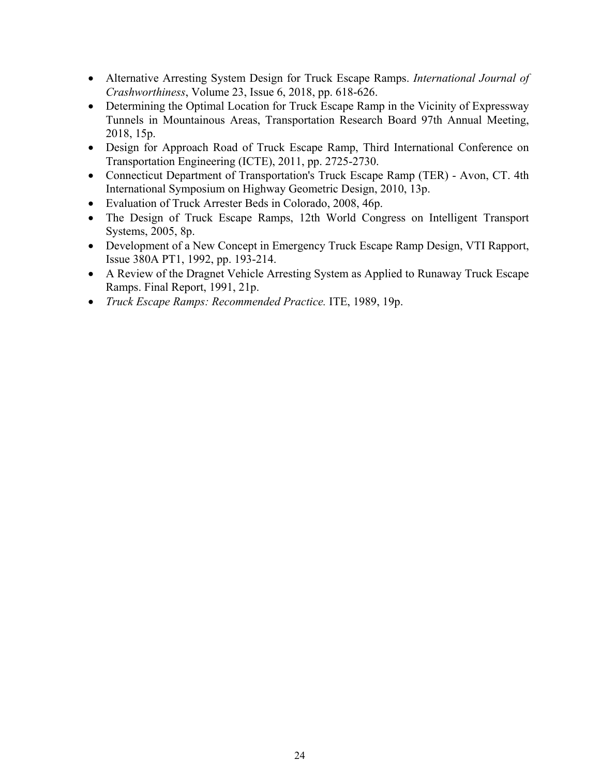- Alternative Arresting System Design for Truck Escape Ramps. *International Journal of Crashworthiness*, Volume 23, Issue 6, 2018, pp. 618-626.
- Determining the Optimal Location for Truck Escape Ramp in the Vicinity of Expressway Tunnels in Mountainous Areas, Transportation Research Board 97th Annual Meeting, 2018, 15p.
- Design for Approach Road of Truck Escape Ramp, Third International Conference on Transportation Engineering (ICTE), 2011, pp. 2725-2730.
- Connecticut Department of Transportation's Truck Escape Ramp (TER) Avon, CT. 4th International Symposium on Highway Geometric Design, 2010, 13p.
- Evaluation of Truck Arrester Beds in Colorado, 2008, 46p.
- The Design of Truck Escape Ramps, 12th World Congress on Intelligent Transport Systems, 2005, 8p.
- Development of a New Concept in Emergency Truck Escape Ramp Design, VTI Rapport, Issue 380A PT1, 1992, pp. 193-214.
- A Review of the Dragnet Vehicle Arresting System as Applied to Runaway Truck Escape Ramps. Final Report, 1991, 21p.
- *Truck Escape Ramps: Recommended Practice.* ITE, 1989, 19p.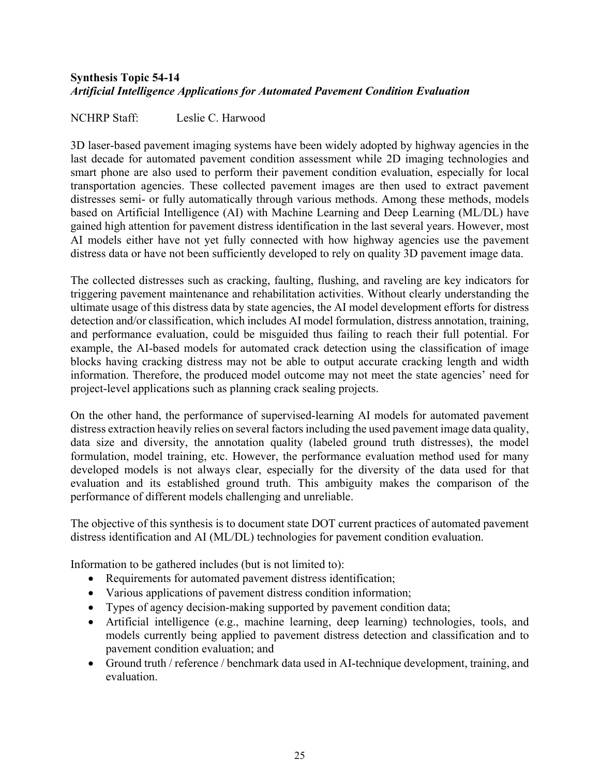# <span id="page-24-0"></span>**Synthesis Topic 54-14** *Artificial Intelligence Applications for Automated Pavement Condition Evaluation*

NCHRP Staff: Leslie C. Harwood

3D laser-based pavement imaging systems have been widely adopted by highway agencies in the last decade for automated pavement condition assessment while 2D imaging technologies and smart phone are also used to perform their pavement condition evaluation, especially for local transportation agencies. These collected pavement images are then used to extract pavement distresses semi- or fully automatically through various methods. Among these methods, models based on Artificial Intelligence (AI) with Machine Learning and Deep Learning (ML/DL) have gained high attention for pavement distress identification in the last several years. However, most AI models either have not yet fully connected with how highway agencies use the pavement distress data or have not been sufficiently developed to rely on quality 3D pavement image data.

The collected distresses such as cracking, faulting, flushing, and raveling are key indicators for triggering pavement maintenance and rehabilitation activities. Without clearly understanding the ultimate usage of this distress data by state agencies, the AI model development efforts for distress detection and/or classification, which includes AI model formulation, distress annotation, training, and performance evaluation, could be misguided thus failing to reach their full potential. For example, the AI-based models for automated crack detection using the classification of image blocks having cracking distress may not be able to output accurate cracking length and width information. Therefore, the produced model outcome may not meet the state agencies' need for project-level applications such as planning crack sealing projects.

On the other hand, the performance of supervised-learning AI models for automated pavement distress extraction heavily relies on several factors including the used pavement image data quality, data size and diversity, the annotation quality (labeled ground truth distresses), the model formulation, model training, etc. However, the performance evaluation method used for many developed models is not always clear, especially for the diversity of the data used for that evaluation and its established ground truth. This ambiguity makes the comparison of the performance of different models challenging and unreliable.

The objective of this synthesis is to document state DOT current practices of automated pavement distress identification and AI (ML/DL) technologies for pavement condition evaluation.

Information to be gathered includes (but is not limited to):

- Requirements for automated pavement distress identification;
- Various applications of pavement distress condition information;
- Types of agency decision-making supported by pavement condition data;
- Artificial intelligence (e.g., machine learning, deep learning) technologies, tools, and models currently being applied to pavement distress detection and classification and to pavement condition evaluation; and
- Ground truth / reference / benchmark data used in AI-technique development, training, and evaluation.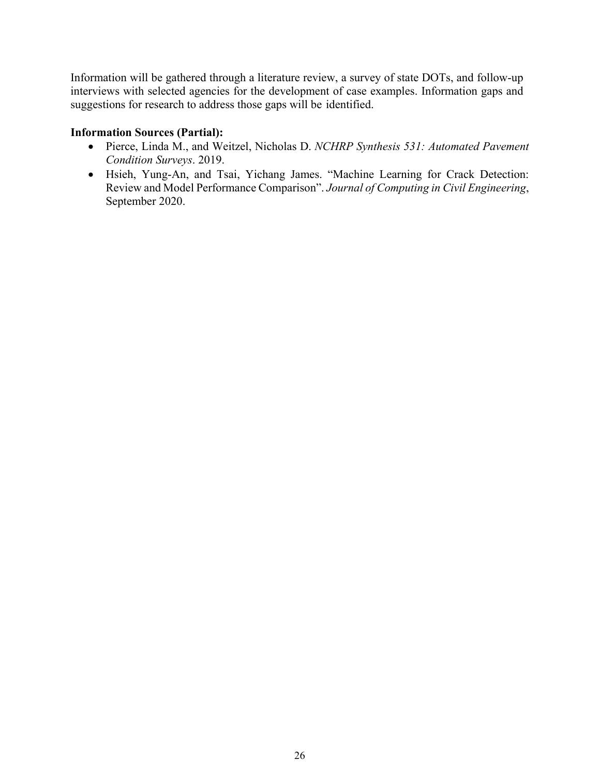Information will be gathered through a literature review, a survey of state DOTs, and follow-up interviews with selected agencies for the development of case examples. Information gaps and suggestions for research to address those gaps will be identified.

- Pierce, Linda M., and Weitzel, Nicholas D. *NCHRP Synthesis 531: Automated Pavement Condition Surveys*. 2019.
- Hsieh, Yung-An, and Tsai, Yichang James. "Machine Learning for Crack Detection: Review and Model Performance Comparison". *Journal of Computing in Civil Engineering*, September 2020.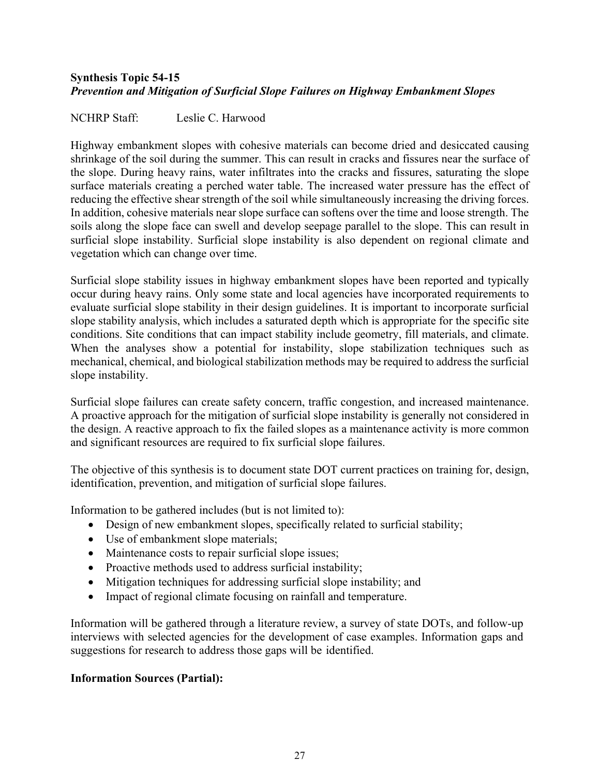# <span id="page-26-0"></span>**Synthesis Topic 54-15** *Prevention and Mitigation of Surficial Slope Failures on Highway Embankment Slopes*

NCHRP Staff: Leslie C. Harwood

Highway embankment slopes with cohesive materials can become dried and desiccated causing shrinkage of the soil during the summer. This can result in cracks and fissures near the surface of the slope. During heavy rains, water infiltrates into the cracks and fissures, saturating the slope surface materials creating a perched water table. The increased water pressure has the effect of reducing the effective shear strength of the soil while simultaneously increasing the driving forces. In addition, cohesive materials near slope surface can softens over the time and loose strength. The soils along the slope face can swell and develop seepage parallel to the slope. This can result in surficial slope instability. Surficial slope instability is also dependent on regional climate and vegetation which can change over time.

Surficial slope stability issues in highway embankment slopes have been reported and typically occur during heavy rains. Only some state and local agencies have incorporated requirements to evaluate surficial slope stability in their design guidelines. It is important to incorporate surficial slope stability analysis, which includes a saturated depth which is appropriate for the specific site conditions. Site conditions that can impact stability include geometry, fill materials, and climate. When the analyses show a potential for instability, slope stabilization techniques such as mechanical, chemical, and biological stabilization methods may be required to address the surficial slope instability.

Surficial slope failures can create safety concern, traffic congestion, and increased maintenance. A proactive approach for the mitigation of surficial slope instability is generally not considered in the design. A reactive approach to fix the failed slopes as a maintenance activity is more common and significant resources are required to fix surficial slope failures.

The objective of this synthesis is to document state DOT current practices on training for, design, identification, prevention, and mitigation of surficial slope failures.

Information to be gathered includes (but is not limited to):

- Design of new embankment slopes, specifically related to surficial stability;
- Use of embankment slope materials;
- Maintenance costs to repair surficial slope issues;
- Proactive methods used to address surficial instability;
- Mitigation techniques for addressing surficial slope instability; and
- Impact of regional climate focusing on rainfall and temperature.

Information will be gathered through a literature review, a survey of state DOTs, and follow-up interviews with selected agencies for the development of case examples. Information gaps and suggestions for research to address those gaps will be identified.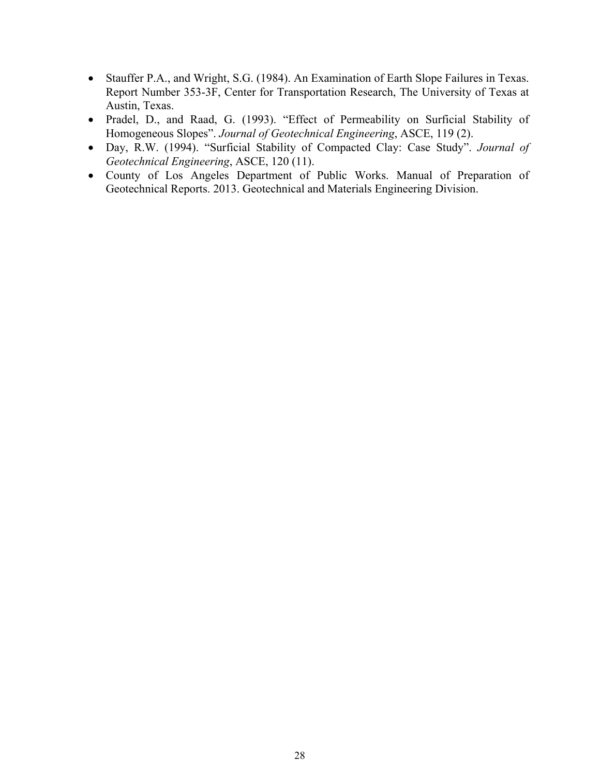- Stauffer P.A., and Wright, S.G. (1984). An Examination of Earth Slope Failures in Texas. Report Number 353-3F, Center for Transportation Research, The University of Texas at Austin, Texas.
- Pradel, D., and Raad, G. (1993). "Effect of Permeability on Surficial Stability of Homogeneous Slopes". *Journal of Geotechnical Engineering*, ASCE, 119 (2).
- Day, R.W. (1994). "Surficial Stability of Compacted Clay: Case Study". *Journal of Geotechnical Engineering*, ASCE, 120 (11).
- County of Los Angeles Department of Public Works. Manual of Preparation of Geotechnical Reports. 2013. Geotechnical and Materials Engineering Division.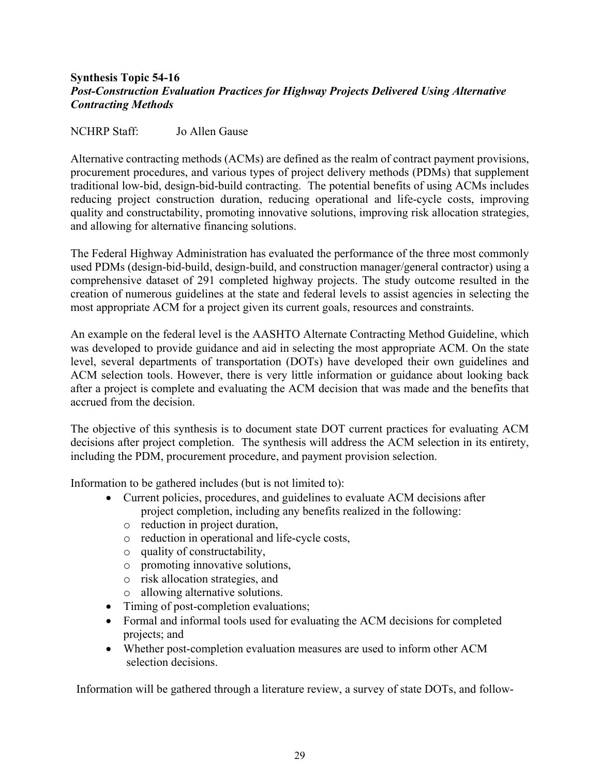#### <span id="page-28-0"></span>**Synthesis Topic 54-16** *Post-Construction Evaluation Practices for Highway Projects Delivered Using Alternative Contracting Methods*

#### NCHRP Staff: Jo Allen Gause

Alternative contracting methods (ACMs) are defined as the realm of contract payment provisions, procurement procedures, and various types of project delivery methods (PDMs) that supplement traditional low-bid, design-bid-build contracting. The potential benefits of using ACMs includes reducing project construction duration, reducing operational and life-cycle costs, improving quality and constructability, promoting innovative solutions, improving risk allocation strategies, and allowing for alternative financing solutions.

The Federal Highway Administration has evaluated the performance of the three most commonly used PDMs (design-bid-build, design-build, and construction manager/general contractor) using a comprehensive dataset of 291 completed highway projects. The study outcome resulted in the creation of numerous guidelines at the state and federal levels to assist agencies in selecting the most appropriate ACM for a project given its current goals, resources and constraints.

An example on the federal level is the AASHTO Alternate Contracting Method Guideline, which was developed to provide guidance and aid in selecting the most appropriate ACM. On the state level, several departments of transportation (DOTs) have developed their own guidelines and ACM selection tools. However, there is very little information or guidance about looking back after a project is complete and evaluating the ACM decision that was made and the benefits that accrued from the decision.

The objective of this synthesis is to document state DOT current practices for evaluating ACM decisions after project completion. The synthesis will address the ACM selection in its entirety, including the PDM, procurement procedure, and payment provision selection.

Information to be gathered includes (but is not limited to):

- Current policies, procedures, and guidelines to evaluate ACM decisions after project completion, including any benefits realized in the following:
	- o reduction in project duration,
	- o reduction in operational and life-cycle costs,
	- o quality of constructability,
	- o promoting innovative solutions,
	- o risk allocation strategies, and
	- o allowing alternative solutions.
- Timing of post-completion evaluations;
- Formal and informal tools used for evaluating the ACM decisions for completed projects; and
- Whether post-completion evaluation measures are used to inform other ACM selection decisions.

Information will be gathered through a literature review, a survey of state DOTs, and follow-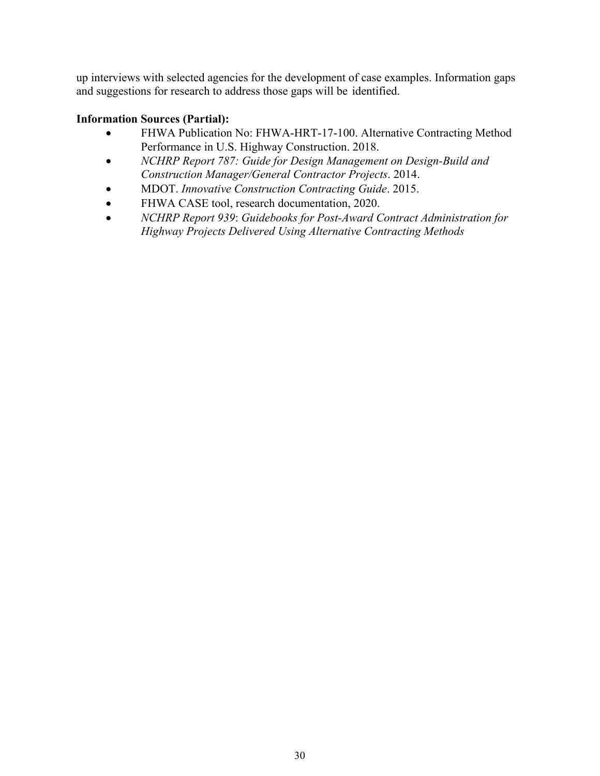up interviews with selected agencies for the development of case examples. Information gaps and suggestions for research to address those gaps will be identified.

- FHWA Publication No: FHWA-HRT-17-100. Alternative Contracting Method Performance in U.S. Highway Construction. 2018.
- *NCHRP Report 787: Guide for Design Management on Design-Build and Construction Manager/General Contractor Projects*. 2014.
- MDOT. *Innovative Construction Contracting Guide*. 2015.
- FHWA CASE tool, research documentation, 2020.
- *NCHRP Report 939*: *Guidebooks for Post-Award Contract Administration for Highway Projects Delivered Using Alternative Contracting Methods*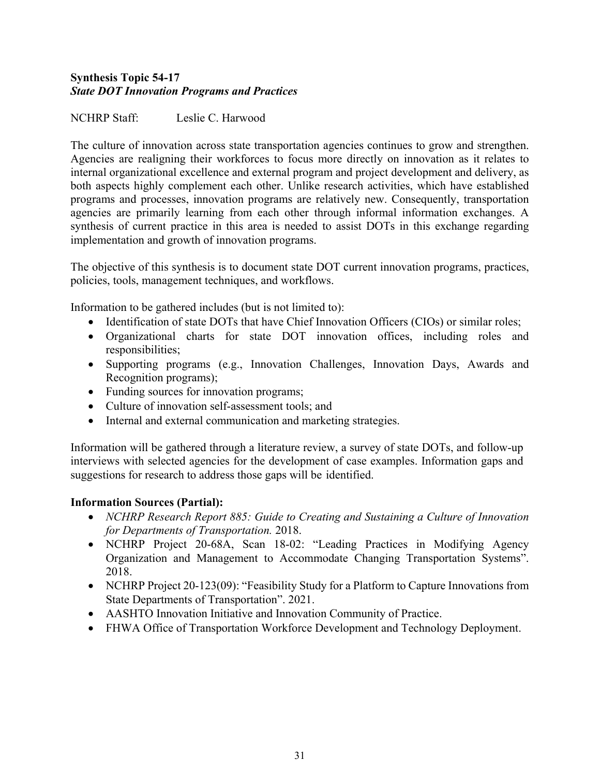# <span id="page-30-0"></span>**Synthesis Topic 54-17** *State DOT Innovation Programs and Practices*

NCHRP Staff: Leslie C. Harwood

The culture of innovation across state transportation agencies continues to grow and strengthen. Agencies are realigning their workforces to focus more directly on innovation as it relates to internal organizational excellence and external program and project development and delivery, as both aspects highly complement each other. Unlike research activities, which have established programs and processes, innovation programs are relatively new. Consequently, transportation agencies are primarily learning from each other through informal information exchanges. A synthesis of current practice in this area is needed to assist DOTs in this exchange regarding implementation and growth of innovation programs.

The objective of this synthesis is to document state DOT current innovation programs, practices, policies, tools, management techniques, and workflows.

Information to be gathered includes (but is not limited to):

- Identification of state DOTs that have Chief Innovation Officers (CIOs) or similar roles;
- Organizational charts for state DOT innovation offices, including roles and responsibilities;
- Supporting programs (e.g., Innovation Challenges, Innovation Days, Awards and Recognition programs);
- Funding sources for innovation programs;
- Culture of innovation self-assessment tools; and
- Internal and external communication and marketing strategies.

Information will be gathered through a literature review, a survey of state DOTs, and follow-up interviews with selected agencies for the development of case examples. Information gaps and suggestions for research to address those gaps will be identified.

- *NCHRP Research Report 885: Guide to Creating and Sustaining a Culture of Innovation for Departments of Transportation.* 2018.
- NCHRP Project 20-68A, Scan 18-02: "Leading Practices in Modifying Agency Organization and Management to Accommodate Changing Transportation Systems". 2018.
- NCHRP Project 20-123(09): "Feasibility Study for a Platform to Capture Innovations from State Departments of Transportation". 2021.
- AASHTO Innovation Initiative and Innovation Community of Practice.
- FHWA Office of Transportation Workforce Development and Technology Deployment.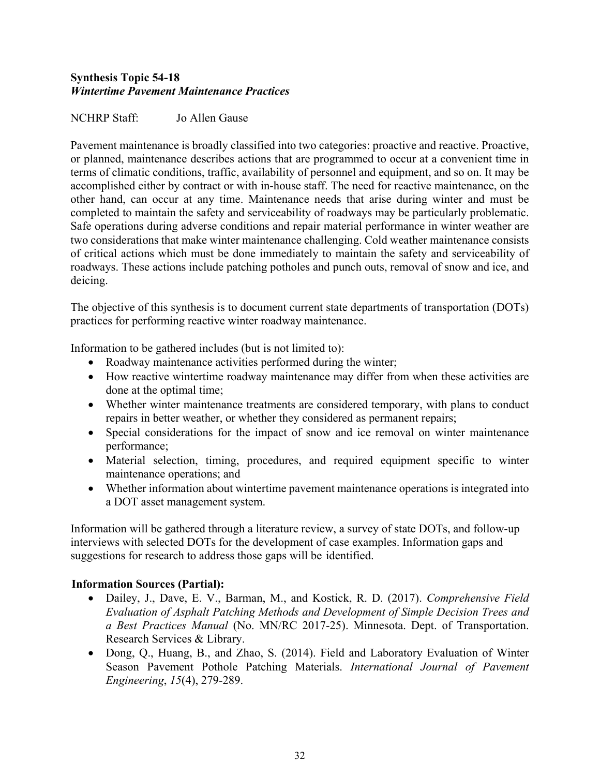# <span id="page-31-0"></span>**Synthesis Topic 54-18** *Wintertime Pavement Maintenance Practices*

# NCHRP Staff: Jo Allen Gause

Pavement maintenance is broadly classified into two categories: proactive and reactive. Proactive, or planned, maintenance describes actions that are programmed to occur at a convenient time in terms of climatic conditions, traffic, availability of personnel and equipment, and so on. It may be accomplished either by contract or with in-house staff. The need for reactive maintenance, on the other hand, can occur at any time. Maintenance needs that arise during winter and must be completed to maintain the safety and serviceability of roadways may be particularly problematic. Safe operations during adverse conditions and repair material performance in winter weather are two considerations that make winter maintenance challenging. Cold weather maintenance consists of critical actions which must be done immediately to maintain the safety and serviceability of roadways. These actions include patching potholes and punch outs, removal of snow and ice, and deicing.

The objective of this synthesis is to document current state departments of transportation (DOTs) practices for performing reactive winter roadway maintenance.

Information to be gathered includes (but is not limited to):

- Roadway maintenance activities performed during the winter;
- How reactive wintertime roadway maintenance may differ from when these activities are done at the optimal time;
- Whether winter maintenance treatments are considered temporary, with plans to conduct repairs in better weather, or whether they considered as permanent repairs;
- Special considerations for the impact of snow and ice removal on winter maintenance performance;
- Material selection, timing, procedures, and required equipment specific to winter maintenance operations; and
- Whether information about wintertime pavement maintenance operations is integrated into a DOT asset management system.

Information will be gathered through a literature review, a survey of state DOTs, and follow-up interviews with selected DOTs for the development of case examples. Information gaps and suggestions for research to address those gaps will be identified.

- Dailey, J., Dave, E. V., Barman, M., and Kostick, R. D. (2017). *Comprehensive Field Evaluation of Asphalt Patching Methods and Development of Simple Decision Trees and a Best Practices Manual* (No. MN/RC 2017-25). Minnesota. Dept. of Transportation. Research Services & Library.
- Dong, Q., Huang, B., and Zhao, S. (2014). Field and Laboratory Evaluation of Winter Season Pavement Pothole Patching Materials. *International Journal of Pavement Engineering*, *15*(4), 279-289.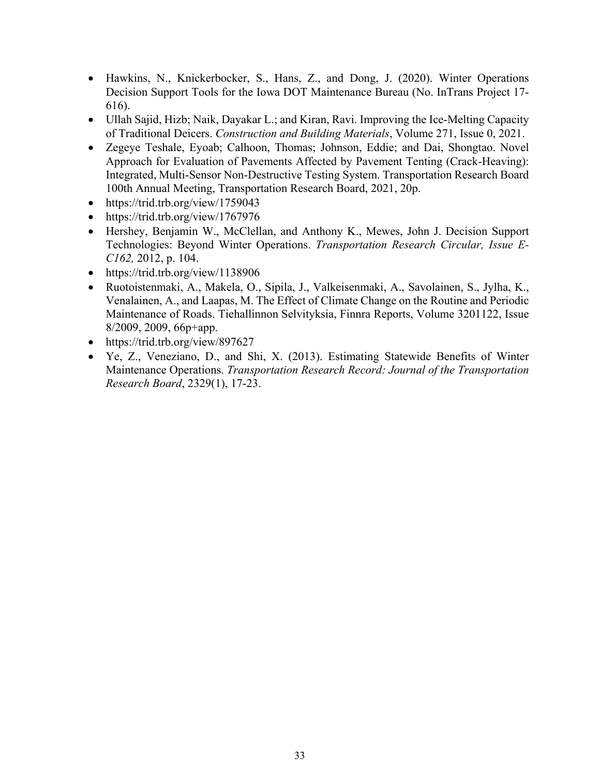- Hawkins, N., Knickerbocker, S., Hans, Z., and Dong, J. (2020). Winter Operations Decision Support Tools for the Iowa DOT Maintenance Bureau (No. InTrans Project 17- 616).
- Ullah Sajid, Hizb; Naik, Dayakar L.; and Kiran, Ravi. Improving the Ice-Melting Capacity of Traditional Deicers. *Construction and Building Materials*, Volume 271, Issue 0, 2021.
- Zegeye Teshale, Eyoab; Calhoon, Thomas; Johnson, Eddie; and Dai, Shongtao. Novel Approach for Evaluation of Pavements Affected by Pavement Tenting (Crack-Heaving): Integrated, Multi-Sensor Non-Destructive Testing System. Transportation Research Board 100th Annual Meeting, Transportation Research Board, 2021, 20p.
- https://trid.trb.org/view/1759043
- https://trid.trb.org/view/1767976
- Hershey, Benjamin W., McClellan, and Anthony K., Mewes, John J. Decision Support Technologies: Beyond Winter Operations. *Transportation Research Circular, Issue E-C162,* 2012, p. 104.
- https://trid.trb.org/view/1138906
- Ruotoistenmaki, A., Makela, O., Sipila, J., Valkeisenmaki, A., Savolainen, S., Jylha, K., Venalainen, A., and Laapas, M. The Effect of Climate Change on the Routine and Periodic Maintenance of Roads. Tiehallinnon Selvityksia, Finnra Reports, Volume 3201122, Issue 8/2009, 2009, 66p+app.
- https://trid.trb.org/view/897627
- Ye, Z., Veneziano, D., and Shi, X. (2013). Estimating Statewide Benefits of Winter Maintenance Operations. *Transportation Research Record: Journal of the Transportation Research Board*, 2329(1), 17-23.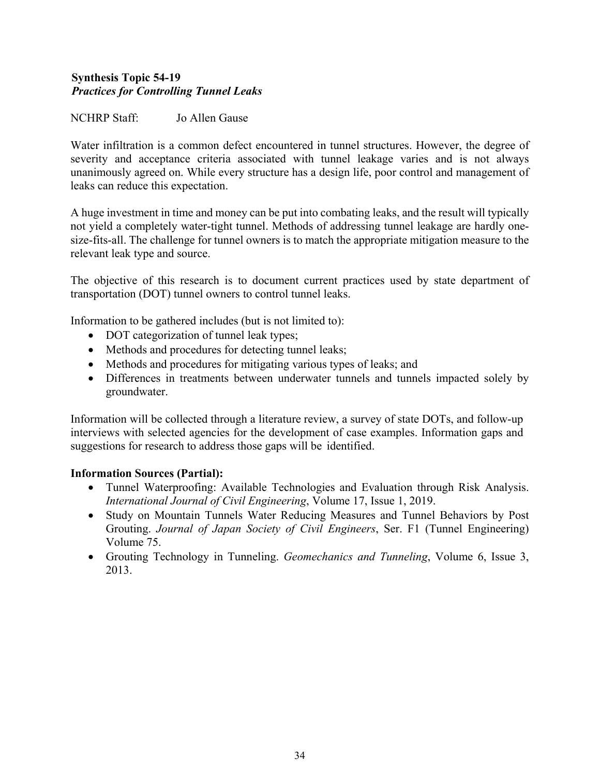# <span id="page-33-0"></span>**Synthesis Topic 54-19** *Practices for Controlling Tunnel Leaks*

# NCHRP Staff: Jo Allen Gause

Water infiltration is a common defect encountered in tunnel structures. However, the degree of severity and acceptance criteria associated with tunnel leakage varies and is not always unanimously agreed on. While every structure has a design life, poor control and management of leaks can reduce this expectation.

A huge investment in time and money can be put into combating leaks, and the result will typically not yield a completely water-tight tunnel. Methods of addressing tunnel leakage are hardly onesize-fits-all. The challenge for tunnel owners is to match the appropriate mitigation measure to the relevant leak type and source.

The objective of this research is to document current practices used by state department of transportation (DOT) tunnel owners to control tunnel leaks.

Information to be gathered includes (but is not limited to):

- DOT categorization of tunnel leak types;
- Methods and procedures for detecting tunnel leaks;
- Methods and procedures for mitigating various types of leaks; and
- Differences in treatments between underwater tunnels and tunnels impacted solely by groundwater.

Information will be collected through a literature review, a survey of state DOTs, and follow-up interviews with selected agencies for the development of case examples. Information gaps and suggestions for research to address those gaps will be identified.

- Tunnel Waterproofing: Available Technologies and Evaluation through Risk Analysis. *International Journal of Civil Engineering*, Volume 17, Issue 1, 2019.
- Study on Mountain Tunnels Water Reducing Measures and Tunnel Behaviors by Post Grouting. *Journal of Japan Society of Civil Engineers*, Ser. F1 (Tunnel Engineering) Volume 75.
- Grouting Technology in Tunneling. *Geomechanics and Tunneling*, Volume 6, Issue 3, 2013.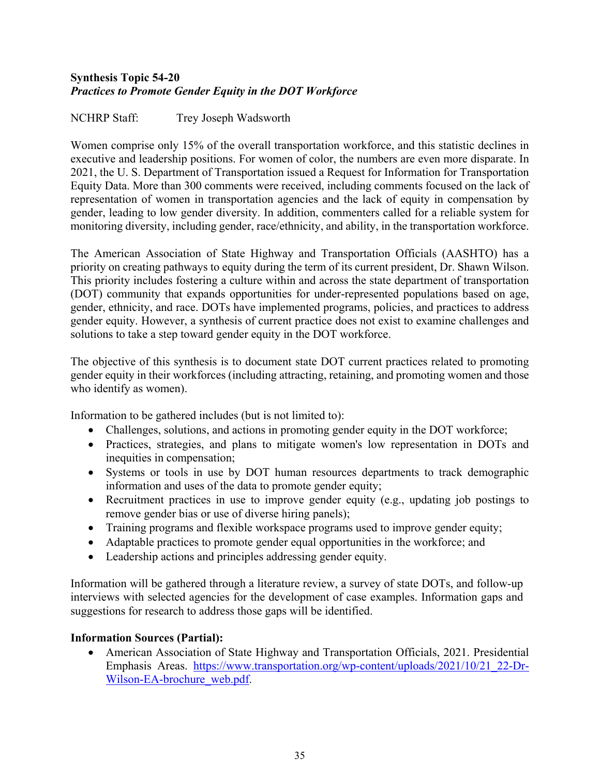# <span id="page-34-0"></span>**Synthesis Topic 54-20** *Practices to Promote Gender Equity in the DOT Workforce*

NCHRP Staff: Trey Joseph Wadsworth

Women comprise only 15% of the overall transportation workforce, and this statistic declines in executive and leadership positions. For women of color, the numbers are even more disparate. In 2021, the U. S. Department of Transportation issued a Request for Information for Transportation Equity Data. More than 300 comments were received, including comments focused on the lack of representation of women in transportation agencies and the lack of equity in compensation by gender, leading to low gender diversity. In addition, commenters called for a reliable system for monitoring diversity, including gender, race/ethnicity, and ability, in the transportation workforce.

The American Association of State Highway and Transportation Officials (AASHTO) has a priority on creating pathways to equity during the term of its current president, Dr. Shawn Wilson. This priority includes fostering a culture within and across the state department of transportation (DOT) community that expands opportunities for under-represented populations based on age, gender, ethnicity, and race. DOTs have implemented programs, policies, and practices to address gender equity. However, a synthesis of current practice does not exist to examine challenges and solutions to take a step toward gender equity in the DOT workforce.

The objective of this synthesis is to document state DOT current practices related to promoting gender equity in their workforces (including attracting, retaining, and promoting women and those who identify as women).

Information to be gathered includes (but is not limited to):

- Challenges, solutions, and actions in promoting gender equity in the DOT workforce;
- Practices, strategies, and plans to mitigate women's low representation in DOTs and inequities in compensation;
- Systems or tools in use by DOT human resources departments to track demographic information and uses of the data to promote gender equity;
- Recruitment practices in use to improve gender equity (e.g., updating job postings to remove gender bias or use of diverse hiring panels);
- Training programs and flexible workspace programs used to improve gender equity;
- Adaptable practices to promote gender equal opportunities in the workforce; and
- Leadership actions and principles addressing gender equity.

Information will be gathered through a literature review, a survey of state DOTs, and follow-up interviews with selected agencies for the development of case examples. Information gaps and suggestions for research to address those gaps will be identified.

# **Information Sources (Partial):**

• American Association of State Highway and Transportation Officials, 2021. Presidential Emphasis Areas. [https://www.transportation.org/wp-content/uploads/2021/10/21\\_22-Dr-](https://www.transportation.org/wp-content/uploads/2021/10/21_22-Dr-Wilson-EA-brochure_web.pdf)[Wilson-EA-brochure\\_web.pdf.](https://www.transportation.org/wp-content/uploads/2021/10/21_22-Dr-Wilson-EA-brochure_web.pdf)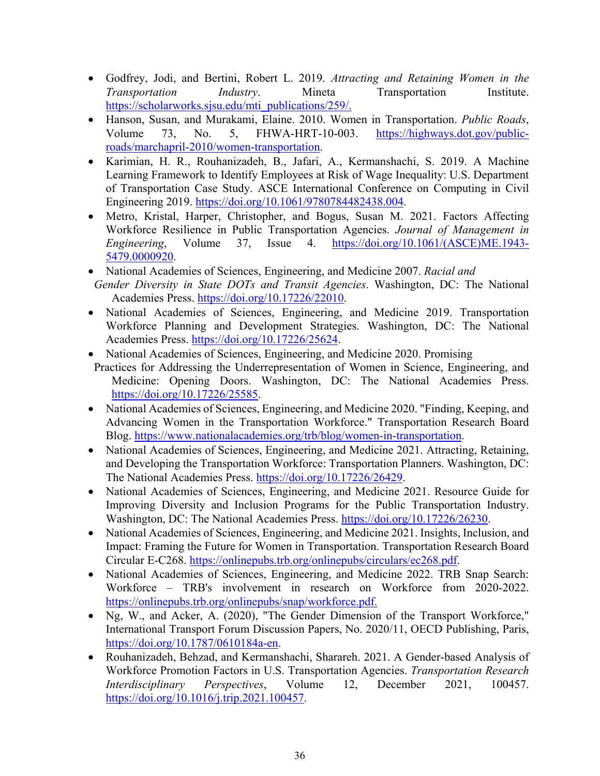- Godfrey, Jodi, and Bertini, Robert L. 2019. *Attracting and Retaining Women in the Transportation Industry*. Mineta Transportation Institute. [https://scholarworks.sjsu.edu/mti\\_publications/259/.](https://scholarworks.sjsu.edu/mti_publications/259/)
- Hanson, Susan, and Murakami, Elaine. 2010. Women in Transportation. *Public Roads*, Volume 73, No. 5, FHWA-HRT-10-003. [https://highways.dot.gov/public](https://highways.dot.gov/public-roads/marchapril-2010/women-transportation)[roads/marchapril-2010/women-transportation.](https://highways.dot.gov/public-roads/marchapril-2010/women-transportation)
- Karimian, H. R., Rouhanizadeh, B., Jafari, A., Kermanshachi, S. 2019. A Machine Learning Framework to Identify Employees at Risk of Wage Inequality: U.S. Department of Transportation Case Study. ASCE International Conference on Computing in Civil Engineering 2019. [https://doi.org/10.1061/9780784482438.004.](https://doi.org/10.1061/9780784482438.004)
- Metro, Kristal, Harper, Christopher, and Bogus, Susan M. 2021. Factors Affecting Workforce Resilience in Public Transportation Agencies. *Journal of Management in Engineering*, Volume 37, Issue 4. [https://doi.org/10.1061/\(ASCE\)ME.1943-](https://doi.org/10.1061/(ASCE)ME.1943-5479.0000920) [5479.0000920.](https://doi.org/10.1061/(ASCE)ME.1943-5479.0000920)
- National Academies of Sciences, Engineering, and Medicine 2007. *Racial and*
- *Gender Diversity in State DOTs and Transit Agencies*. Washington, DC: The National Academies Press. [https://doi.org/10.17226/22010.](https://doi.org/10.17226/22010)
- National Academies of Sciences, Engineering, and Medicine 2019. Transportation Workforce Planning and Development Strategies. Washington, DC: The National Academies Press. [https://doi.org/10.17226/25624.](https://doi.org/10.17226/25624)
- National Academies of Sciences, Engineering, and Medicine 2020. Promising
- Practices for Addressing the Underrepresentation of Women in Science, Engineering, and Medicine: Opening Doors. Washington, DC: The National Academies Press. [https://doi.org/10.17226/25585.](https://doi.org/10.17226/25585)
- National Academies of Sciences, Engineering, and Medicine 2020. "Finding, Keeping, and Advancing Women in the Transportation Workforce." Transportation Research Board Blog. [https://www.nationalacademies.org/trb/blog/women-in-transportation.](https://www.nationalacademies.org/trb/blog/women-in-transportation)
- National Academies of Sciences, Engineering, and Medicine 2021. Attracting, Retaining, and Developing the Transportation Workforce: Transportation Planners. Washington, DC: The National Academies Press. [https://doi.org/10.17226/26429.](https://doi.org/10.17226/26429)
- National Academies of Sciences, Engineering, and Medicine 2021. Resource Guide for Improving Diversity and Inclusion Programs for the Public Transportation Industry. Washington, DC: The National Academies Press. [https://doi.org/10.17226/26230.](https://doi.org/10.17226/26230)
- National Academies of Sciences, Engineering, and Medicine 2021. Insights, Inclusion, and Impact: Framing the Future for Women in Transportation. Transportation Research Board Circular E-C268. [https://onlinepubs.trb.org/onlinepubs/circulars/ec268.pdf.](https://onlinepubs.trb.org/onlinepubs/circulars/ec268.pdf)
- National Academies of Sciences, Engineering, and Medicine 2022. TRB Snap Search: Workforce – TRB's involvement in research on Workforce from 2020-2022. [https://onlinepubs.trb.org/onlinepubs/snap/workforce.pdf.](https://onlinepubs.trb.org/onlinepubs/snap/workforce.pdf)
- Ng, W., and Acker, A. (2020), "The Gender Dimension of the Transport Workforce," International Transport Forum Discussion Papers, No. 2020/11, OECD Publishing, Paris, [https://doi.org/10.1787/0610184a-en.](https://doi.org/10.1787/0610184a-en)
- Rouhanizadeh, Behzad, and Kermanshachi, Sharareh. 2021. A Gender-based Analysis of Workforce Promotion Factors in U.S. Transportation Agencies. *Transportation Research Interdisciplinary Perspectives*, Volume 12, December 2021, 100457. [https://doi.org/10.1016/j.trip.2021.100457.](https://doi.org/10.1016/j.trip.2021.100457)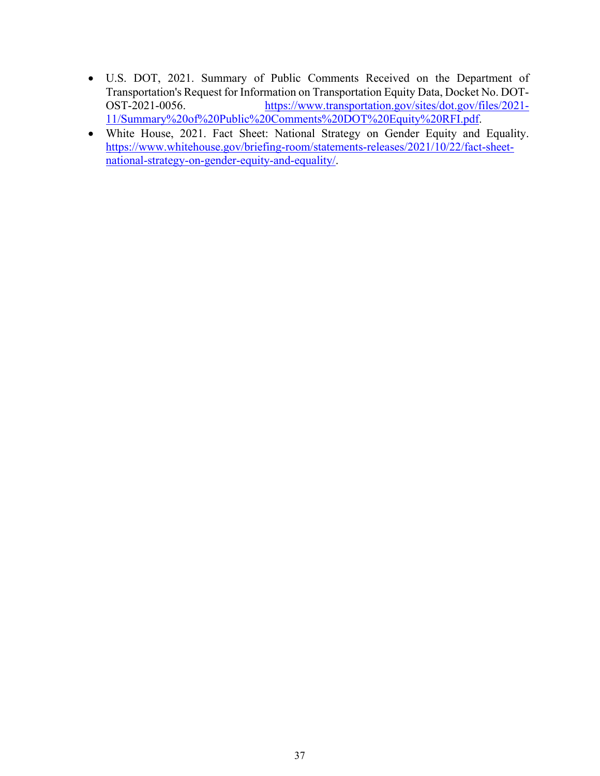- U.S. DOT, 2021. Summary of Public Comments Received on the Department of Transportation's Request for Information on Transportation Equity Data, Docket No. DOT-OST-2021-0056. [https://www.transportation.gov/sites/dot.gov/files/2021-](https://www.transportation.gov/sites/dot.gov/files/2021-11/Summary%20of%20Public%20Comments%20DOT%20Equity%20RFI.pdf) [11/Summary%20of%20Public%20Comments%20DOT%20Equity%20RFI.pdf.](https://www.transportation.gov/sites/dot.gov/files/2021-11/Summary%20of%20Public%20Comments%20DOT%20Equity%20RFI.pdf)
- White House, 2021. Fact Sheet: National Strategy on Gender Equity and Equality. [https://www.whitehouse.gov/briefing-room/statements-releases/2021/10/22/fact-sheet](https://www.whitehouse.gov/briefing-room/statements-releases/2021/10/22/fact-sheet-national-strategy-on-gender-equity-and-equality/)[national-strategy-on-gender-equity-and-equality/.](https://www.whitehouse.gov/briefing-room/statements-releases/2021/10/22/fact-sheet-national-strategy-on-gender-equity-and-equality/)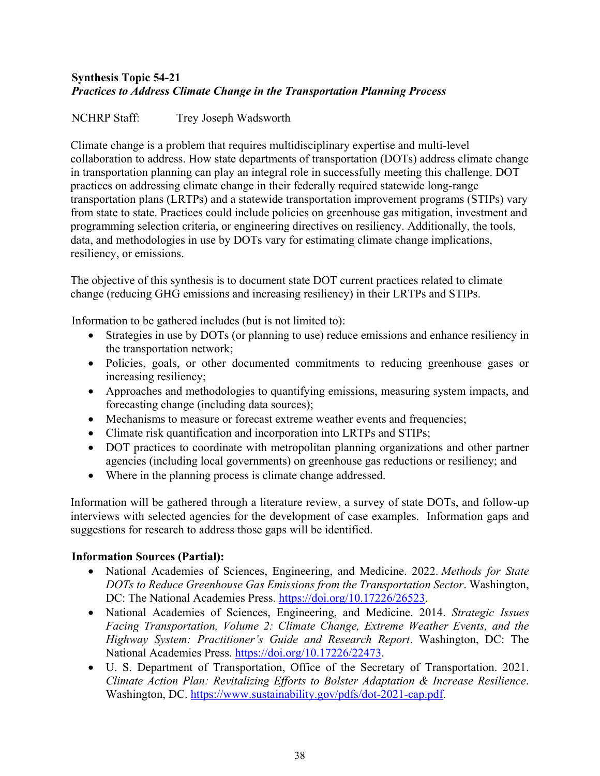# <span id="page-37-0"></span>**Synthesis Topic 54-21** *Practices to Address Climate Change in the Transportation Planning Process*

NCHRP Staff: Trey Joseph Wadsworth

Climate change is a problem that requires multidisciplinary expertise and multi-level collaboration to address. How state departments of transportation (DOTs) address climate change in transportation planning can play an integral role in successfully meeting this challenge. DOT practices on addressing climate change in their federally required statewide long-range transportation plans (LRTPs) and a statewide transportation improvement programs (STIPs) vary from state to state. Practices could include policies on greenhouse gas mitigation, investment and programming selection criteria, or engineering directives on resiliency. Additionally, the tools, data, and methodologies in use by DOTs vary for estimating climate change implications, resiliency, or emissions.

The objective of this synthesis is to document state DOT current practices related to climate change (reducing GHG emissions and increasing resiliency) in their LRTPs and STIPs.

Information to be gathered includes (but is not limited to):

- Strategies in use by DOTs (or planning to use) reduce emissions and enhance resiliency in the transportation network;
- Policies, goals, or other documented commitments to reducing greenhouse gases or increasing resiliency;
- Approaches and methodologies to quantifying emissions, measuring system impacts, and forecasting change (including data sources);
- Mechanisms to measure or forecast extreme weather events and frequencies;
- Climate risk quantification and incorporation into LRTPs and STIPs;
- DOT practices to coordinate with metropolitan planning organizations and other partner agencies (including local governments) on greenhouse gas reductions or resiliency; and
- Where in the planning process is climate change addressed.

Information will be gathered through a literature review, a survey of state DOTs, and follow-up interviews with selected agencies for the development of case examples. Information gaps and suggestions for research to address those gaps will be identified.

- National Academies of Sciences, Engineering, and Medicine. 2022. *Methods for State DOTs to Reduce Greenhouse Gas Emissions from the Transportation Sector*. Washington, DC: The National Academies Press. [https://doi.org/10.17226/26523.](https://doi.org/10.17226/26523)
- National Academies of Sciences, Engineering, and Medicine. 2014. *Strategic Issues Facing Transportation, Volume 2: Climate Change, Extreme Weather Events, and the Highway System: Practitioner's Guide and Research Report*. Washington, DC: The National Academies Press. [https://doi.org/10.17226/22473.](https://doi.org/10.17226/22473)
- U. S. Department of Transportation, Office of the Secretary of Transportation. 2021. *Climate Action Plan: Revitalizing Efforts to Bolster Adaptation & Increase Resilience*. Washington, DC. [https://www.sustainability.gov/pdfs/dot-2021-cap.pdf.](about:blank)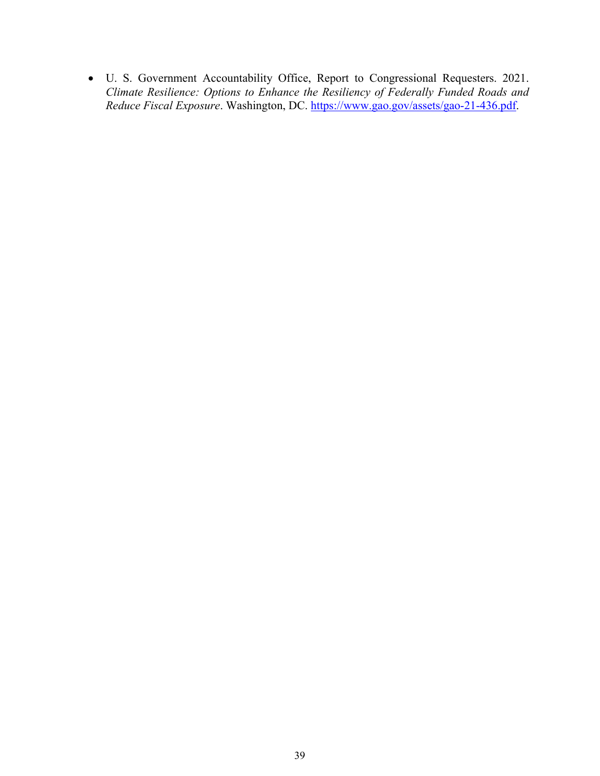• U. S. Government Accountability Office, Report to Congressional Requesters. 2021. *Climate Resilience: Options to Enhance the Resiliency of Federally Funded Roads and Reduce Fiscal Exposure*. Washington, DC. [https://www.gao.gov/assets/gao-21-436.pdf.](about:blank)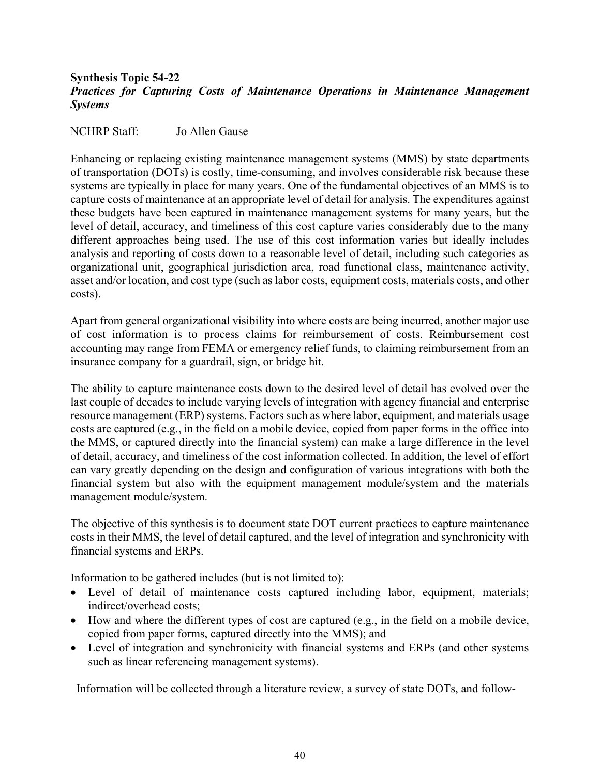## <span id="page-39-0"></span>**Synthesis Topic 54-22** *Practices for Capturing Costs of Maintenance Operations in Maintenance Management Systems*

NCHRP Staff: Jo Allen Gause

Enhancing or replacing existing maintenance management systems (MMS) by state departments of transportation (DOTs) is costly, time-consuming, and involves considerable risk because these systems are typically in place for many years. One of the fundamental objectives of an MMS is to capture costs of maintenance at an appropriate level of detail for analysis. The expenditures against these budgets have been captured in maintenance management systems for many years, but the level of detail, accuracy, and timeliness of this cost capture varies considerably due to the many different approaches being used. The use of this cost information varies but ideally includes analysis and reporting of costs down to a reasonable level of detail, including such categories as organizational unit, geographical jurisdiction area, road functional class, maintenance activity, asset and/or location, and cost type (such as labor costs, equipment costs, materials costs, and other costs).

Apart from general organizational visibility into where costs are being incurred, another major use of cost information is to process claims for reimbursement of costs. Reimbursement cost accounting may range from FEMA or emergency relief funds, to claiming reimbursement from an insurance company for a guardrail, sign, or bridge hit.

The ability to capture maintenance costs down to the desired level of detail has evolved over the last couple of decades to include varying levels of integration with agency financial and enterprise resource management (ERP) systems. Factors such as where labor, equipment, and materials usage costs are captured (e.g., in the field on a mobile device, copied from paper forms in the office into the MMS, or captured directly into the financial system) can make a large difference in the level of detail, accuracy, and timeliness of the cost information collected. In addition, the level of effort can vary greatly depending on the design and configuration of various integrations with both the financial system but also with the equipment management module/system and the materials management module/system.

The objective of this synthesis is to document state DOT current practices to capture maintenance costs in their MMS, the level of detail captured, and the level of integration and synchronicity with financial systems and ERPs.

Information to be gathered includes (but is not limited to):

- Level of detail of maintenance costs captured including labor, equipment, materials; indirect/overhead costs;
- How and where the different types of cost are captured (e.g., in the field on a mobile device, copied from paper forms, captured directly into the MMS); and
- Level of integration and synchronicity with financial systems and ERPs (and other systems such as linear referencing management systems).

Information will be collected through a literature review, a survey of state DOTs, and follow-